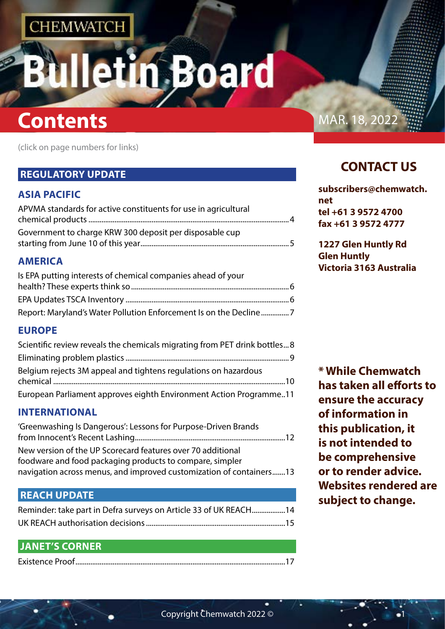# n Board

## **Contents** MAR. 18, 2022

(click on page numbers for links)

## **[REGULATORY UPDATE](#page-2-0)**

## **[ASIA PACIFIC](#page-2-0)**

| APVMA standards for active constituents for use in agricultural |  |
|-----------------------------------------------------------------|--|
| Government to charge KRW 300 deposit per disposable cup         |  |
|                                                                 |  |

## **[AMERICA](#page-3-0)**

| Is EPA putting interests of chemical companies ahead of your |  |
|--------------------------------------------------------------|--|
|                                                              |  |
|                                                              |  |
|                                                              |  |

## **[EUROPE](#page-4-0)**

| Scientific review reveals the chemicals migrating from PET drink bottles 8 |  |
|----------------------------------------------------------------------------|--|
|                                                                            |  |
| Belgium rejects 3M appeal and tightens regulations on hazardous            |  |
|                                                                            |  |
| European Parliament approves eighth Environment Action Programme11         |  |

## **[INTERNATIONAL](#page-6-0)**

| 'Greenwashing Is Dangerous': Lessons for Purpose-Driven Brands      |  |
|---------------------------------------------------------------------|--|
|                                                                     |  |
| New version of the UP Scorecard features over 70 additional         |  |
| foodware and food packaging products to compare, simpler            |  |
| navigation across menus, and improved customization of containers13 |  |
|                                                                     |  |

## **[REACH UPDATE](#page-7-0)**

| Reminder: take part in Defra surveys on Article 33 of UK REACH14 |  |
|------------------------------------------------------------------|--|
|                                                                  |  |

## **[JANET'S CORNER](#page-8-0)**

|--|

## **CONTACT US**

**[subscribers@chemwatch.](mailto:subscribers@chemwatch.net) [net](mailto:subscribers@chemwatch.net) tel +61 3 9572 4700 fax +61 3 9572 4777**

**1227 Glen Huntly Rd Glen Huntly Victoria 3163 Australia**

**\* While Chemwatch has taken all efforts to ensure the accuracy of information in this publication, it is not intended to be comprehensive or to render advice. Websites rendered are subject to change.**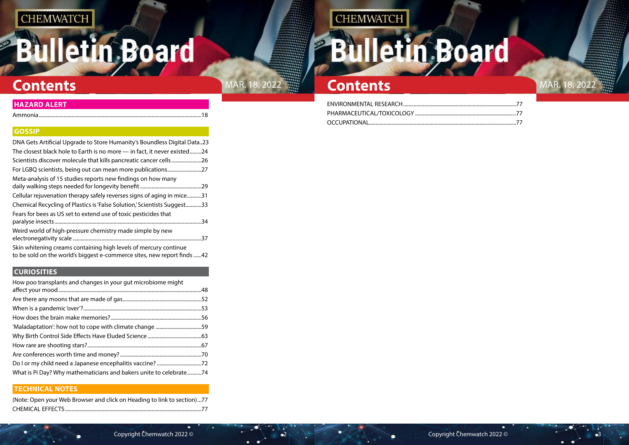# **Bulletin Board**

## **Contents** MAR. 18, 2022 **Contents** MAR. 18, 2022

## **CHEMWATCH**

# **Bulletin Board**

**[HAZARD ALERT](#page-9-0)**

## [Ammonia............................................................................................................................18](#page-9-0)

## **[GOSSIP](#page-11-0)**

| DNA Gets Artificial Upgrade to Store Humanity's Boundless Digital Data23                                                                    |
|---------------------------------------------------------------------------------------------------------------------------------------------|
| The closest black hole to Earth is no more - in fact, it never existed<br>24                                                                |
| 26                                                                                                                                          |
|                                                                                                                                             |
| Meta-analysis of 15 studies reports new findings on how many<br>.29                                                                         |
| Cellular rejuvenation therapy safely reverses signs of aging in mice31                                                                      |
| Chemical Recycling of Plastics is 'False Solution', Scientists Suggest33                                                                    |
| Fears for bees as US set to extend use of toxic pesticides that<br>.34                                                                      |
| Weird world of high-pressure chemistry made simple by new<br>37                                                                             |
| Skin whitening creams containing high levels of mercury continue<br>to be sold on the world's biggest e-commerce sites, new report finds 42 |

## **[CURIOSITIES](#page-24-0)**

| How poo transplants and changes in your gut microbiome might       |  |
|--------------------------------------------------------------------|--|
|                                                                    |  |
|                                                                    |  |
|                                                                    |  |
| 'Maladaptation': how not to cope with climate change 59            |  |
|                                                                    |  |
|                                                                    |  |
|                                                                    |  |
|                                                                    |  |
| What is Pi Day? Why mathematicians and bakers unite to celebrate74 |  |

## **[TECHNICAL NOTES](#page-38-0)**

[\(Note: Open your Web Browser and click on Heading to link to section\)...77](#page-38-0) [CHEMICAL EFFECTS........................................................................................................77](#page-38-0)

| 77 |  |
|----|--|
| 77 |  |
| 77 |  |

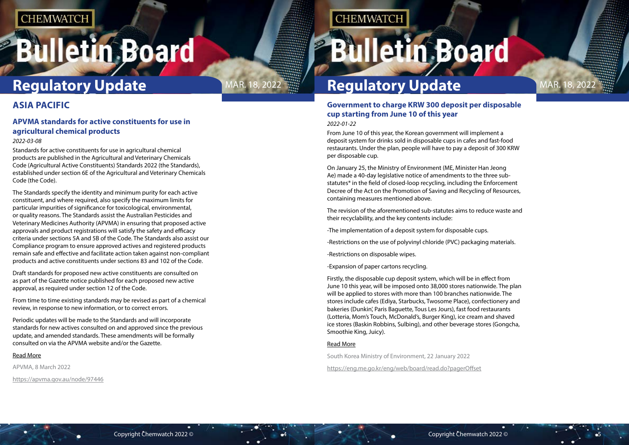# <span id="page-2-0"></span>**Bulletin Board**

## **Government to charge KRW 300 deposit per disposable cup starting from June 10 of this year**

### *2022-01-22*

From June 10 of this year, the Korean government will implement a deposit system for drinks sold in disposable cups in cafes and fast-food restaurants. Under the plan, people will have to pay a deposit of 300 KRW per disposable cup.

On January 25, the Ministry of Environment (ME, Minister Han Jeong Ae) made a 40-day legislative notice of amendments to the three substatutes\* in the field of closed-loop recycling, including the Enforcement Decree of the Act on the Promotion of Saving and Recycling of Resources, containing measures mentioned above.

The revision of the aforementioned sub-statutes aims to reduce waste and their recyclability, and the key contents include:

-The implementation of a deposit system for disposable cups.

-Restrictions on the use of polyvinyl chloride (PVC) packaging materials.

-Restrictions on disposable wipes.

-Expansion of paper cartons recycling.

Firstly, the disposable cup deposit system, which will be in effect from June 10 this year, will be imposed onto 38,000 stores nationwide. The plan will be applied to stores with more than 100 branches nationwide. The stores include cafes (Ediya, Starbucks, Twosome Place), confectionery and bakeries (Dunkin', Paris Baguette, Tous Les Jours), fast food restaurants (Lotteria, Mom's Touch, McDonald's, Burger King), ice cream and shaved ice stores (Baskin Robbins, Sulbing), and other beverage stores (Gongcha, Smoothie King, Juicy).

### [Read More](https://eng.me.go.kr/eng/web/board/read.do?pagerOffset)

South Korea Ministry of Environment, 22 January 2022

<https://eng.me.go.kr/eng/web/board/read.do?pagerOffset>





## **ASIA PACIFIC**

## **APVMA standards for active constituents for use in agricultural chemical products**

### *2022-03-08*

Standards for active constituents for use in agricultural chemical products are published in the Agricultural and Veterinary Chemicals Code (Agricultural Active Constituents) Standards 2022 (the Standards), established under section 6E of the Agricultural and Veterinary Chemicals Code (the Code).

The Standards specify the identity and minimum purity for each active constituent, and where required, also specify the maximum limits for particular impurities of significance for toxicological, environmental, or quality reasons. The Standards assist the Australian Pesticides and Veterinary Medicines Authority (APVMA) in ensuring that proposed active approvals and product registrations will satisfy the safety and efficacy criteria under sections 5A and 5B of the Code. The Standards also assist our Compliance program to ensure approved actives and registered products remain safe and effective and facilitate action taken against non-compliant products and active constituents under sections 83 and 102 of the Code.

Draft standards for proposed new active constituents are consulted on as part of the Gazette notice published for each proposed new active approval, as required under section 12 of the Code.

From time to time existing standards may be revised as part of a chemical review, in response to new information, or to correct errors.

Periodic updates will be made to the Standards and will incorporate standards for new actives consulted on and approved since the previous update, and amended standards. These amendments will be formally consulted on via the APVMA website and/or the Gazette.

### [Read More](https://apvma.gov.au/node/97446)

APVMA, 8 March 2022

<https://apvma.gov.au/node/97446>

## MAR. 18, 2022 **1999 Regulatory Update** MAR. 18, 2022

**CHEMWATCH** 

## **Regulatory Update**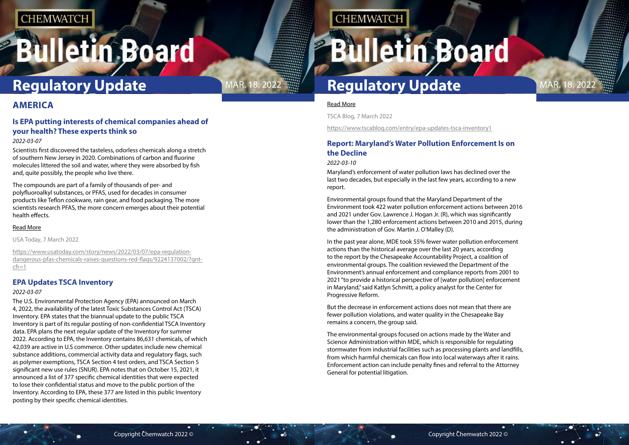# <span id="page-3-0"></span>**Bulletin Board**

## **Regulatory Update** MAR. 18, 2022 **Regulatory Update** MAR. 18, 2022

### [Read More](https://www.tscablog.com/entry/epa-updates-tsca-inventory1)

TSCA Blog, 7 March 2022

**CHEMWATCH** 

<https://www.tscablog.com/entry/epa-updates-tsca-inventory1>

## **Report: Maryland's Water Pollution Enforcement Is on the Decline**

*2022-03-10*

Maryland's enforcement of water pollution laws has declined over the last two decades, but especially in the last few years, according to a new report.

Environmental groups found that the Maryland Department of the Environment took 422 water pollution enforcement actions between 2016 and 2021 under Gov. Lawrence J. Hogan Jr. (R), which was significantly lower than the 1,280 enforcement actions between 2010 and 2015, during the administration of Gov. Martin J. O'Malley (D).

In the past year alone, MDE took 55% fewer water pollution enforcement actions than the historical average over the last 20 years, according to the report by the Chesapeake Accountability Project, a coalition of environmental groups. The coalition reviewed the Department of the Environment's annual enforcement and compliance reports from 2001 to 2021 "to provide a historical perspective of [water pollution] enforcement in Maryland," said Katlyn Schmitt, a policy analyst for the Center for Progressive Reform.

[https://www.usatoday.com/story/news/2022/03/07/epa-regulation](https://www.usatoday.com/story/news/2022/03/07/epa-regulation-dangerous-pfas-chemicals-raises-questions-red-flags/9224137002/?gnt-cfr=1)[dangerous-pfas-chemicals-raises-questions-red-flags/9224137002/?gnt](https://www.usatoday.com/story/news/2022/03/07/epa-regulation-dangerous-pfas-chemicals-raises-questions-red-flags/9224137002/?gnt-cfr=1) $cfr=1$ 

> But the decrease in enforcement actions does not mean that there are fewer pollution violations, and water quality in the Chesapeake Bay remains a concern, the group said.

The environmental groups focused on actions made by the Water and Science Administration within MDE, which is responsible for regulating stormwater from industrial facilities such as processing plants and landfills, from which harmful chemicals can flow into local waterways after it rains. Enforcement action can include penalty fines and referral to the Attorney General for potential litigation.





## **AMERICA**

## **Is EPA putting interests of chemical companies ahead of your health? These experts think so**

### *2022-03-07*

Scientists first discovered the tasteless, odorless chemicals along a stretch of southern New Jersey in 2020. Combinations of carbon and fluorine molecules littered the soil and water, where they were absorbed by fish and, quite possibly, the people who live there.

The compounds are part of a family of thousands of per- and polyfluoroalkyl substances, or PFAS, used for decades in consumer products like Teflon cookware, rain gear, and food packaging. The more scientists research PFAS, the more concern emerges about their potential health effects.

### [Read More](https://www.usatoday.com/story/news/2022/03/07/epa-regulation-dangerous-pfas-chemicals-raises-questions-red-flags/9224137002/?gnt-cfr=1)

USA Today, 7 March 2022

## **EPA Updates TSCA Inventory**

### *2022-03-07*

The U.S. Environmental Protection Agency (EPA) announced on March 4, 2022, the availability of the latest Toxic Substances Control Act (TSCA) Inventory. EPA states that the biannual update to the public TSCA Inventory is part of its regular posting of non-confidential TSCA Inventory data. EPA plans the next regular update of the Inventory for summer 2022. According to EPA, the Inventory contains 86,631 chemicals, of which 42,039 are active in U.S commerce. Other updates include new chemical substance additions, commercial activity data and regulatory flags, such as polymer exemptions, TSCA Section 4 test orders, and TSCA Section 5 significant new use rules (SNUR). EPA notes that on October 15, 2021, it announced a list of 377 specific chemical identities that were expected to lose their confidential status and move to the public portion of the Inventory. According to EPA, these 377 are listed in this public Inventory posting by their specific chemical identities.

# **Bulletin Board**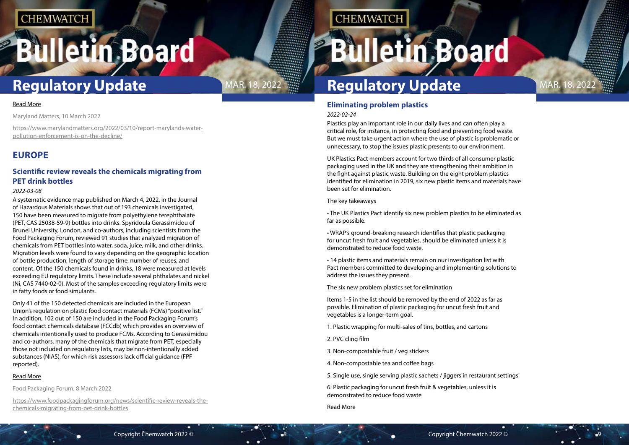# <span id="page-4-0"></span>**Bulletin Board**

## **Regulatory Update** MAR. 18, 2022 **Regulatory Update** MAR. 18, 2022

## **Eliminating problem plastics**

**CHEMWATCH** 

### *2022-02-24*

Plastics play an important role in our daily lives and can often play a critical role, for instance, in protecting food and preventing food waste. But we must take urgent action where the use of plastic is problematic or unnecessary, to stop the issues plastic presents to our environment.

UK Plastics Pact members account for two thirds of all consumer plastic packaging used in the UK and they are strengthening their ambition in the fight against plastic waste. Building on the eight problem plastics identified for elimination in 2019, six new plastic items and materials have been set for elimination.

The key takeaways

• The UK Plastics Pact identify six new problem plastics to be eliminated as far as possible.

• WRAP's ground-breaking research identifies that plastic packaging for uncut fresh fruit and vegetables, should be eliminated unless it is demonstrated to reduce food waste.

• 14 plastic items and materials remain on our investigation list with Pact members committed to developing and implementing solutions to address the issues they present.

The six new problem plastics set for elimination

Items 1-5 in the list should be removed by the end of 2022 as far as possible. Elimination of plastic packaging for uncut fresh fruit and vegetables is a longer-term goal.

1. Plastic wrapping for multi-sales of tins, bottles, and cartons

2. PVC cling film

3. Non-compostable fruit / veg stickers

4. Non-compostable tea and coffee bags

5. Single use, single serving plastic sachets / jiggers in restaurant settings

6. Plastic packaging for uncut fresh fruit & vegetables, unless it is demonstrated to reduce food waste

[Read More](https://wrap.org.uk/resources/report/eliminating-problem-plastics)



### [Read More](https://www.marylandmatters.org/2022/03/10/report-marylands-water-pollution-enforcement-is-on-the-decline/)

Maryland Matters, 10 March 2022

[https://www.marylandmatters.org/2022/03/10/report-marylands-water](https://www.marylandmatters.org/2022/03/10/report-marylands-water-pollution-enforcement-is-on-the-decline/)[pollution-enforcement-is-on-the-decline/](https://www.marylandmatters.org/2022/03/10/report-marylands-water-pollution-enforcement-is-on-the-decline/)

## **EUROPE**

## **Scientific review reveals the chemicals migrating from PET drink bottles**

### *2022-03-08*

A systematic evidence map published on March 4, 2022, in the Journal of Hazardous Materials shows that out of 193 chemicals investigated, 150 have been measured to migrate from polyethylene terephthalate (PET, CAS 25038-59-9) bottles into drinks. Spyridoula Gerassimidou of Brunel University, London, and co-authors, including scientists from the Food Packaging Forum, reviewed 91 studies that analyzed migration of chemicals from PET bottles into water, soda, juice, milk, and other drinks. Migration levels were found to vary depending on the geographic location of bottle production, length of storage time, number of reuses, and content. Of the 150 chemicals found in drinks, 18 were measured at levels exceeding EU regulatory limits. These include several phthalates and nickel (Ni, CAS 7440-02-0). Most of the samples exceeding regulatory limits were in fatty foods or food simulants.

Only 41 of the 150 detected chemicals are included in the European Union's regulation on plastic food contact materials (FCMs) "positive list." In addition, 102 out of 150 are included in the Food Packaging Forum's food contact chemicals database (FCCdb) which provides an overview of chemicals intentionally used to produce FCMs. According to Gerassimidou and co-authors, many of the chemicals that migrate from PET, especially those not included on regulatory lists, may be non-intentionally added substances (NIAS), for which risk assessors lack official guidance (FPF reported).

### [Read More](https://www.foodpackagingforum.org/news/scientific-review-reveals-the-chemicals-migrating-from-pet-drink-bottles)

Food Packaging Forum, 8 March 2022

[https://www.foodpackagingforum.org/news/scientific-review-reveals-the](https://www.foodpackagingforum.org/news/scientific-review-reveals-the-chemicals-migrating-from-pet-drink-bottles)[chemicals-migrating-from-pet-drink-bottles](https://www.foodpackagingforum.org/news/scientific-review-reveals-the-chemicals-migrating-from-pet-drink-bottles)

# **Bulletin Board**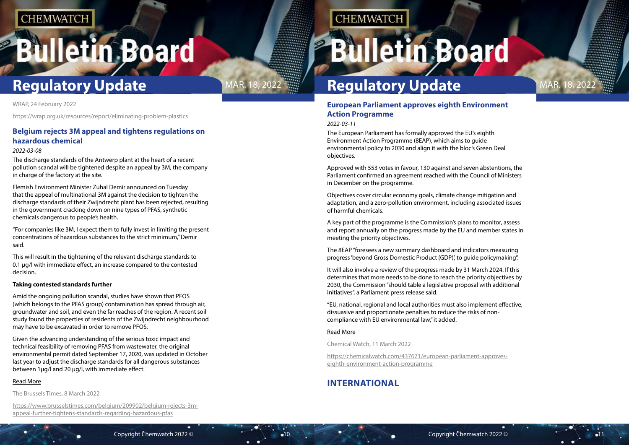# <span id="page-5-0"></span>**Bulletin Board**

## **Regulatory Update** MAR. 18, 2022 **Regulatory Update** MAR. 18, 2022

## **European Parliament approves eighth Environment Action Programme**

### *2022-03-11*

The European Parliament has formally approved the EU's eighth Environment Action Programme (8EAP), which aims to guide environmental policy to 2030 and align it with the bloc's Green Deal objectives.

Approved with 553 votes in favour, 130 against and seven abstentions, the Parliament confirmed an agreement reached with the Council of Ministers in December on the programme.

Objectives cover circular economy goals, climate change mitigation and adaptation, and a zero-pollution environment, including associated issues of harmful chemicals.

A key part of the programme is the Commission's plans to monitor, assess and report annually on the progress made by the EU and member states in meeting the priority objectives.

The 8EAP "foresees a new summary dashboard and indicators measuring progress 'beyond Gross Domestic Product (GDP)', to guide policymaking".

It will also involve a review of the progress made by 31 March 2024. If this determines that more needs to be done to reach the priority objectives by 2030, the Commission "should table a legislative proposal with additional initiatives", a Parliament press release said.

"EU, national, regional and local authorities must also implement effective, dissuasive and proportionate penalties to reduce the risks of noncompliance with EU environmental law," it added.

### [Read More](https://chemicalwatch.com/437671/european-parliament-approves-eighth-environment-action-programme)

Chemical Watch, 11 March 2022

[https://chemicalwatch.com/437671/european-parliament-approves](https://chemicalwatch.com/437671/european-parliament-approves-eighth-environment-action-programme)[eighth-environment-action-programme](https://chemicalwatch.com/437671/european-parliament-approves-eighth-environment-action-programme)

## **INTERNATIONAL**





WRAP, 24 February 2022

<https://wrap.org.uk/resources/report/eliminating-problem-plastics>

## **Belgium rejects 3M appeal and tightens regulations on hazardous chemical**

### *2022-03-08*

The discharge standards of the Antwerp plant at the heart of a recent pollution scandal will be tightened despite an appeal by 3M, the company in charge of the factory at the site.

Flemish Environment Minister Zuhal Demir announced on Tuesday that the appeal of multinational 3M against the decision to tighten the discharge standards of their Zwijndrecht plant has been rejected, resulting in the government cracking down on nine types of PFAS, synthetic chemicals dangerous to people's health.

"For companies like 3M, I expect them to fully invest in limiting the present concentrations of hazardous substances to the strict minimum," Demir said.

This will result in the tightening of the relevant discharge standards to 0.1 µg/l with immediate effect, an increase compared to the contested decision.

### **Taking contested standards further**

Amid the ongoing pollution scandal, studies have shown that PFOS (which belongs to the PFAS group) contamination has spread through air, groundwater and soil, and even the far reaches of the region. A recent soil study found the properties of residents of the Zwijndrecht neighbourhood may have to be excavated in order to remove PFOS.

Given the advancing understanding of the serious toxic impact and technical feasibility of removing PFAS from wastewater, the original environmental permit dated September 17, 2020, was updated in October last year to adjust the discharge standards for all dangerous substances between 1µg/l and 20 µg/l, with immediate effect.

### [Read More](https://www.brusselstimes.com/belgium/209902/belgium-rejects-3m-appeal-further-tightens-standards-regarding-hazardous-pfas)

The Brussels Times, 8 March 2022

[https://www.brusselstimes.com/belgium/209902/belgium-rejects-3m](https://www.brusselstimes.com/belgium/209902/belgium-rejects-3m-appeal-further-tightens-standards-regarding-hazardous-pfas)[appeal-further-tightens-standards-regarding-hazardous-pfas](https://www.brusselstimes.com/belgium/209902/belgium-rejects-3m-appeal-further-tightens-standards-regarding-hazardous-pfas)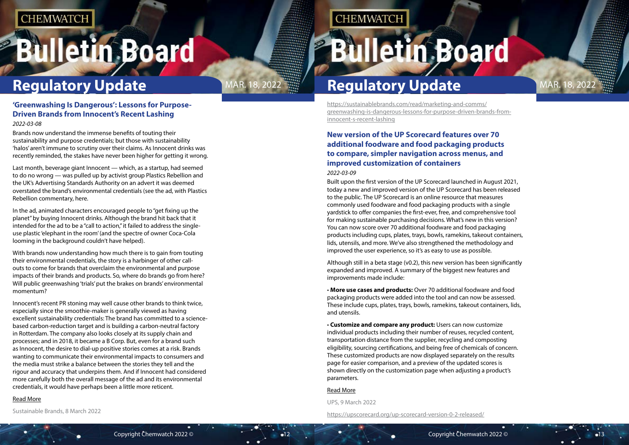# <span id="page-6-0"></span>**Bulletin Board**

## **Regulatory Update** MAR. 18, 2022 **Regulatory Update** MAR. 18, 2022

[https://sustainablebrands.com/read/marketing-and-comms/](https://sustainablebrands.com/read/marketing-and-comms/greenwashing-is-dangerous-lessons-for-purpose-driven-brands-from-innocent-s-recent-lashing) [greenwashing-is-dangerous-lessons-for-purpose-driven-brands-from](https://sustainablebrands.com/read/marketing-and-comms/greenwashing-is-dangerous-lessons-for-purpose-driven-brands-from-innocent-s-recent-lashing)[innocent-s-recent-lashing](https://sustainablebrands.com/read/marketing-and-comms/greenwashing-is-dangerous-lessons-for-purpose-driven-brands-from-innocent-s-recent-lashing)

## **New version of the UP Scorecard features over 70 additional foodware and food packaging products to compare, simpler navigation across menus, and improved customization of containers**

*2022-03-09*

Built upon the first version of the UP Scorecard launched in August 2021, today a new and improved version of the UP Scorecard has been released to the public. The UP Scorecard is an online resource that measures commonly used foodware and food packaging products with a single yardstick to offer companies the first-ever, free, and comprehensive tool for making sustainable purchasing decisions. What's new in this version? You can now score over 70 additional foodware and food packaging products including cups, plates, trays, bowls, ramekins, takeout containers, lids, utensils, and more. We've also strengthened the methodology and improved the user experience, so it's as easy to use as possible.

Although still in a beta stage (v0.2), this new version has been significantly expanded and improved. A summary of the biggest new features and improvements made include:

• **More use cases and products:** Over 70 additional foodware and food packaging products were added into the tool and can now be assessed. These include cups, plates, trays, bowls, ramekins, takeout containers, lids, and utensils.

• **Customize and compare any product:** Users can now customize individual products including their number of reuses, recycled content, transportation distance from the supplier, recycling and composting eligibility, sourcing certifications, and being free of chemicals of concern. These customized products are now displayed separately on the results page for easier comparison, and a preview of the updated scores is shown directly on the customization page when adjusting a product's parameters.

### [Read More](https://upscorecard.org/up-scorecard-version-0-2-released/)

UPS, 9 March 2022

<https://upscorecard.org/up-scorecard-version-0-2-released/>



## **'Greenwashing Is Dangerous': Lessons for Purpose-Driven Brands from Innocent's Recent Lashing**

## *2022-03-08*

Brands now understand the immense benefits of touting their sustainability and purpose credentials; but those with sustainability 'halos' aren't immune to scrutiny over their claims. As Innocent drinks was recently reminded, the stakes have never been higher for getting it wrong.

Last month, beverage giant Innocent — which, as a startup, had seemed to do no wrong — was pulled up by activist group Plastics Rebellion and the UK's Advertising Standards Authority on an advert it was deemed overstated the brand's environmental credentials (see the ad, with Plastics Rebellion commentary, here.

In the ad, animated characters encouraged people to "get fixing up the planet" by buying Innocent drinks. Although the brand hit back that it intended for the ad to be a "call to action," it failed to address the singleuse plastic 'elephant in the room' (and the spectre of owner Coca-Cola looming in the background couldn't have helped).

With brands now understanding how much there is to gain from touting their environmental credentials, the story is a harbinger of other callouts to come for brands that overclaim the environmental and purpose impacts of their brands and products. So, where do brands go from here? Will public greenwashing 'trials' put the brakes on brands' environmental momentum?

Innocent's recent PR stoning may well cause other brands to think twice, especially since the smoothie-maker is generally viewed as having excellent sustainability credentials: The brand has committed to a sciencebased carbon-reduction target and is building a carbon-neutral factory in Rotterdam. The company also looks closely at its supply chain and processes; and in 2018, it became a B Corp. But, even for a brand such as Innocent, the desire to dial-up positive stories comes at a risk. Brands wanting to communicate their environmental impacts to consumers and the media must strike a balance between the stories they tell and the rigour and accuracy that underpins them. And if Innocent had considered more carefully both the overall message of the ad and its environmental credentials, it would have perhaps been a little more reticent.

## [Read More](https://sustainablebrands.com/read/marketing-and-comms/greenwashing-is-dangerous-lessons-for-purpose-driven-brands-from-innocent-s-recent-lashing)

Sustainable Brands, 8 March 2022

## **CHEMWATCH**

# **Bulletin Board**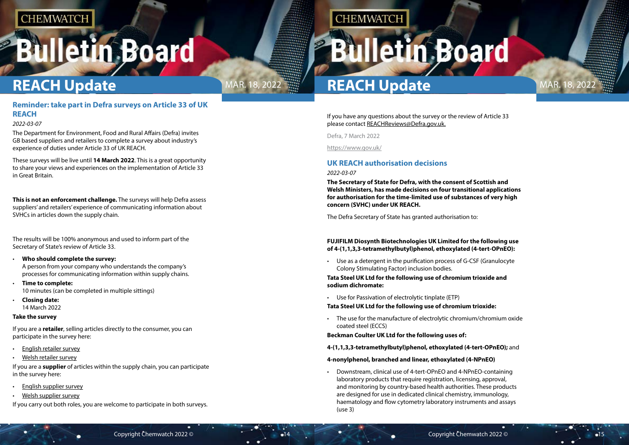# <span id="page-7-0"></span>**Bulletin Board**



If you have any questions about the survey or the review of Article 33 please contact [REACHReviews@Defra.gov.uk.](mailto:REACHReviews@Defra.gov.uk)

Defra, 7 March 2022

<https://www.gov.uk/>

## **UK REACH authorisation decisions**

### *2022-03-07*

**The Secretary of State for Defra, with the consent of Scottish and Welsh Ministers, has made decisions on four transitional applications for authorisation for the time-limited use of substances of very high concern (SVHC) under UK REACH.** 

The Defra Secretary of State has granted authorisation to:

### **FUJIFILM Diosynth Biotechnologies UK Limited for the following use of 4-(1,1,3,3-tetramethylbutyl)phenol, ethoxylated (4-tert-OPnEO):**

• Use as a detergent in the purification process of G-CSF (Granulocyte Colony Stimulating Factor) inclusion bodies.

### **Tata Steel UK Ltd for the following use of chromium trioxide and sodium dichromate:**

• Use for Passivation of electrolytic tinplate (ETP)

## **Tata Steel UK Ltd for the following use of chromium trioxide:**

• The use for the manufacture of electrolytic chromium/chromium oxide coated steel (ECCS)

**Beckman Coulter UK Ltd for the following uses of:**

## **4-(1,1,3,3-tetramethylbutyl)phenol, ethoxylated (4-tert-OPnEO);** and

## **4-nonylphenol, branched and linear, ethoxylated (4-NPnEO)**

• Downstream, clinical use of 4-tert-OPnEO and 4-NPnEO-containing laboratory products that require registration, licensing, approval, and monitoring by country-based health authorities. These products are designed for use in dedicated clinical chemistry, immunology, haematology and flow cytometry laboratory instruments and assays (use 3)

## **Reminder: take part in Defra surveys on Article 33 of UK REACH**

### *2022-03-07*

The Department for Environment, Food and Rural Affairs (Defra) invites GB based suppliers and retailers to complete a survey about industry's experience of duties under Article 33 of UK REACH.

These surveys will be live until **14 March 2022**. This is a great opportunity to share your views and experiences on the implementation of Article 33 in Great Britain.

**This is not an enforcement challenge.** The surveys will help Defra assess suppliers' and retailers' experience of communicating information about SVHCs in articles down the supply chain.

The results will be 100% anonymous and used to inform part of the Secretary of State's review of Article 33.

- **Who should complete the survey:** A person from your company who understands the company's processes for communicating information within supply chains.
- **Time to complete:** 10 minutes (can be completed in multiple sittings)
- **Closing date:** 14 March 2022

### **Take the survey**

If you are a **retailer**, selling articles directly to the consumer, you can participate in the survey here:

- [English retailer survey](https://lnks.gd/l/eyJhbGciOiJIUzI1NiJ9.eyJidWxsZXRpbl9saW5rX2lkIjoxMDIsInVyaSI6ImJwMjpjbGljayIsImJ1bGxldGluX2lkIjoiMjAyMjAzMDcuNTQ0OTAzNTEiLCJ1cmwiOiJodHRwczovL2RlZnJhZ3JvdXAuZXUucXVhbHRyaWNzLmNvbS9qZmUvZm9ybS9TVl9ibHAyUWFMVHpmVzNRNUU_dXRtX3NvdXJjZT1nb3ZkZWxpdmVyeSZ1dG1fbWVkaXVtPWVtYWlsJnV0bV9jYW1wYWlnbj1jaGVtaWNhbHMtZ3VpZGFuY2UtaHNlJnV0bV90ZXJtPXJldGFpbGVyLXN1cnZleS0xJnV0bV9jb250ZW50PXJlYWNoLTctbWFyLTIyIn0.Hn66xiSMIDeyxmsbpMhrmIi7x1ch1SXjs0zb5jP7IXA/s/1292798658/br/127614453312-l)
- [Welsh retailer survey](https://lnks.gd/l/eyJhbGciOiJIUzI1NiJ9.eyJidWxsZXRpbl9saW5rX2lkIjoxMDMsInVyaSI6ImJwMjpjbGljayIsImJ1bGxldGluX2lkIjoiMjAyMjAzMDcuNTQ0OTAzNTEiLCJ1cmwiOiJodHRwczovL2RlZnJhZ3JvdXAuZXUucXVhbHRyaWNzLmNvbS9qZmUvZm9ybS9TVl84MkZuMkpDc1M2d24xeHM_dXRtX3NvdXJjZT1nb3ZkZWxpdmVyeSZ1dG1fbWVkaXVtPWVtYWlsJnV0bV9jYW1wYWlnbj1jaGVtaWNhbHMtZ3VpZGFuY2UtaHNlJnV0bV90ZXJtPXJldGFpbGVyLXN1cnZleS0yJnV0bV9jb250ZW50PXJlYWNoLTctbWFyLTIyIn0.qgly7VBGzZAiHfvgqjR_3eOIbaKazDdcOEMDL6guV0o/s/1292798658/br/127614453312-l)

If you are a **supplier** of articles within the supply chain, you can participate in the survey here:

- [English supplier survey](https://lnks.gd/l/eyJhbGciOiJIUzI1NiJ9.eyJidWxsZXRpbl9saW5rX2lkIjoxMDQsInVyaSI6ImJwMjpjbGljayIsImJ1bGxldGluX2lkIjoiMjAyMjAzMDcuNTQ0OTAzNTEiLCJ1cmwiOiJodHRwczovL2RlZnJhZ3JvdXAuZXUucXVhbHRyaWNzLmNvbS9qZmUvZm9ybS9TVl9kajA1SE1tUEQwdm9Ca1c_dXRtX3NvdXJjZT1nb3ZkZWxpdmVyeSZ1dG1fbWVkaXVtPWVtYWlsJnV0bV9jYW1wYWlnbj1jaGVtaWNhbHMtZ3VpZGFuY2UtaHNlJnV0bV90ZXJtPXN1cHBsaWVyLXN1cnZleS0xJnV0bV9jb250ZW50PXJlYWNoLTctbWFyLTIyIn0.M3ZGehJh3WURBDbWFf_-flx5AdVPZAX5mqI9MYD4uY8/s/1292798658/br/127614453312-l)
- [Welsh supplier survey](https://lnks.gd/l/eyJhbGciOiJIUzI1NiJ9.eyJidWxsZXRpbl9saW5rX2lkIjoxMDUsInVyaSI6ImJwMjpjbGljayIsImJ1bGxldGluX2lkIjoiMjAyMjAzMDcuNTQ0OTAzNTEiLCJ1cmwiOiJodHRwczovL2RlZnJhZ3JvdXAuZXUucXVhbHRyaWNzLmNvbS9qZmUvZm9ybS9TVl81cENzZUJoeWtydjA4YWE_dXRtX3NvdXJjZT1nb3ZkZWxpdmVyeSZ1dG1fbWVkaXVtPWVtYWlsJnV0bV9jYW1wYWlnbj1jaGVtaWNhbHMtZ3VpZGFuY2UtaHNlJnV0bV90ZXJtPXN1cHBsaWVyLXN1cnZleS0yJnV0bV9jb250ZW50PXJlYWNoLTctbWFyLTIyIn0._HEOSZUIZJqWLX7Azr-fj7CGLokn9O4u7dTJxWNrmgQ/s/1292798658/br/127614453312-l)

If you carry out both roles, you are welcome to participate in both surveys.

**CHEMWATCH** 

## **REACH Update**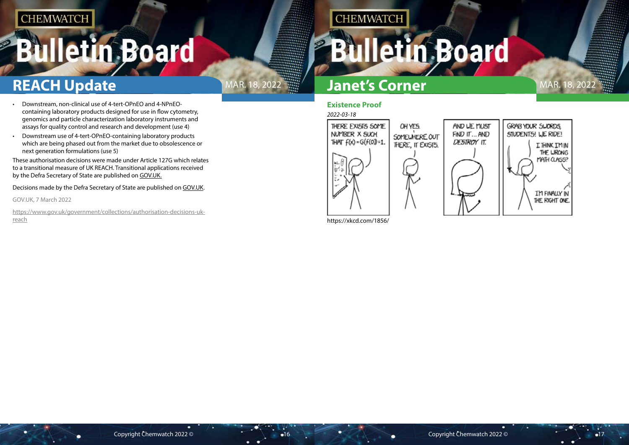# <span id="page-8-0"></span>**Bulletin Board**

## **REACH Update** MAR. 18, 2022



## **Existence Proof**



https://xkcd.com/1856/





• Downstream, non-clinical use of 4-tert-OPnEO and 4-NPnEOcontaining laboratory products designed for use in flow cytometry, genomics and particle characterization laboratory instruments and assays for quality control and research and development (use 4)

These authorisation decisions were made under Article 127G which relates to a transitional measure of UK REACH. Transitional applications received by the Defra Secretary of State are published on [GOV.UK.](https://lnks.gd/l/eyJhbGciOiJIUzI1NiJ9.eyJidWxsZXRpbl9saW5rX2lkIjoxMDYsInVyaSI6ImJwMjpjbGljayIsImJ1bGxldGluX2lkIjoiMjAyMjAzMDcuNTQ0OTAzNTEiLCJ1cmwiOiJodHRwczovL3d3dy5nb3YudWsvZ292ZXJubWVudC9wdWJsaWNhdGlvbnMvdHJhbnNpdGlvbmFsLWFwcGxpY2F0aW9ucy1mb3ItYXV0aG9yaXNhdGlvbi11ay1yZWFjaD91dG1fc291cmNlPWdvdmRlbGl2ZXJ5JnV0bV9tZWRpdW09ZW1haWwmdXRtX2NhbXBhaWduPWNoZW1pY2Fscy1ndWlkYW5jZS1oc2UmdXRtX3Rlcm09Z292LWxpbmstMSZ1dG1fY29udGVudD1yZWFjaC03LW1hci0yMiJ9.6v0bDlIJ5zTmUYpDSBVuuvPX5yPwBka9-NPWm-Agd_s/s/1292798658/br/127614453312-l)

• Downstream use of 4-tert-OPnEO-containing laboratory products which are being phased out from the market due to obsolescence or next generation formulations (use 5)

Decisions made by the Defra Secretary of State are published on [GOV.UK.](https://lnks.gd/l/eyJhbGciOiJIUzI1NiJ9.eyJidWxsZXRpbl9saW5rX2lkIjoxMDcsInVyaSI6ImJwMjpjbGljayIsImJ1bGxldGluX2lkIjoiMjAyMjAzMDcuNTQ0OTAzNTEiLCJ1cmwiOiJodHRwczovL3d3dy5nb3YudWsvZ292ZXJubWVudC9jb2xsZWN0aW9ucy9hdXRob3Jpc2F0aW9uLWRlY2lzaW9ucy11ay1yZWFjaD91dG1fc291cmNlPWdvdmRlbGl2ZXJ5JnV0bV9tZWRpdW09ZW1haWwmdXRtX2NhbXBhaWduPWNoZW1pY2Fscy1ndWlkYW5jZS1oc2UmdXRtX3Rlcm09Z292LWxpbmstMiZ1dG1fY29udGVudD1yZWFjaC03LW1hci0yMiJ9.Etv2bOZkifpfFkNs01oOFMrk-pIbVqdyXZKjWkJxcdE/s/1292798658/br/127614453312-l)

GOV.UK, 7 March 2022

[https://www.gov.uk/government/collections/authorisation-decisions-uk](https://www.gov.uk/government/collections/authorisation-decisions-uk-reach)[reach](https://www.gov.uk/government/collections/authorisation-decisions-uk-reach)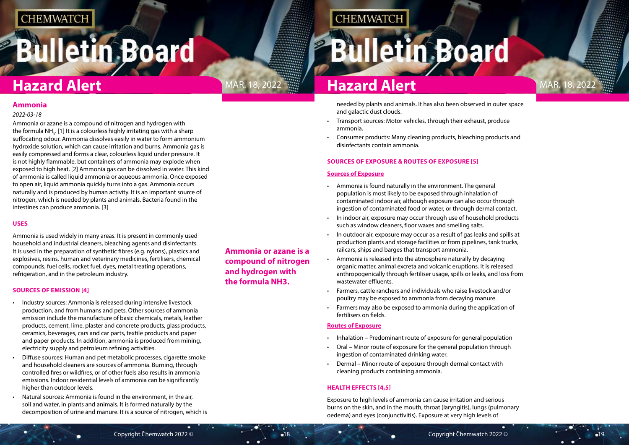# <span id="page-9-0"></span>**Bulletin Board**



**Ammonia or azane is a compound of nitrogen and hydrogen with the formula NH3.**

## **CHEMWATCH**

## **Bulletin Board**

needed by plants and animals. It has also been observed in outer space and galactic dust clouds.

- Transport sources: Motor vehicles, through their exhaust, produce ammonia.
- Consumer products: Many cleaning products, bleaching products and disinfectants contain ammonia.

## **SOURCES OF EXPOSURE & ROUTES OF EXPOSURE [5]**

### **Sources of Exposure**

- Ammonia is found naturally in the environment. The general population is most likely to be exposed through inhalation of contaminated indoor air, although exposure can also occur through ingestion of contaminated food or water, or through dermal contact.
- In indoor air, exposure may occur through use of household products such as window cleaners, floor waxes and smelling salts.
- In outdoor air, exposure may occur as a result of gas leaks and spills at production plants and storage facilities or from pipelines, tank trucks, railcars, ships and barges that transport ammonia.
- Ammonia is released into the atmosphere naturally by decaying organic matter, animal excreta and volcanic eruptions. It is released anthropogenically through fertiliser usage, spills or leaks, and loss from wastewater effluents.
- Farmers, cattle ranchers and individuals who raise livestock and/or poultry may be exposed to ammonia from decaying manure.
- Farmers may also be exposed to ammonia during the application of fertilisers on fields.

### **Routes of Exposure**

- Inhalation Predominant route of exposure for general population
- Oral Minor route of exposure for the general population through ingestion of contaminated drinking water.
- Dermal Minor route of exposure through dermal contact with cleaning products containing ammonia.

### **HEALTH EFFECTS [4,5]**

Exposure to high levels of ammonia can cause irritation and serious burns on the skin, and in the mouth, throat (laryngitis), lungs (pulmonary oedema) and eyes (conjunctivitis). Exposure at very high levels of

## **Ammonia**

### *2022-03-18*

Ammonia or azane is a compound of nitrogen and hydrogen with the formula NH $_{\textrm{\tiny{3}}}$ . [1] It is a colourless highly irritating gas with a sharp suffocating odour. Ammonia dissolves easily in water to form ammonium hydroxide solution, which can cause irritation and burns. Ammonia gas is easily compressed and forms a clear, colourless liquid under pressure. It is not highly flammable, but containers of ammonia may explode when exposed to high heat. [2] Ammonia gas can be dissolved in water. This kind of ammonia is called liquid ammonia or aqueous ammonia. Once exposed to open air, liquid ammonia quickly turns into a gas. Ammonia occurs naturally and is produced by human activity. It is an important source of nitrogen, which is needed by plants and animals. Bacteria found in the intestines can produce ammonia. [3]

### **USES**

Ammonia is used widely in many areas. It is present in commonly used household and industrial cleaners, bleaching agents and disinfectants. It is used in the preparation of synthetic fibres (e.g. nylons), plastics and explosives, resins, human and veterinary medicines, fertilisers, chemical compounds, fuel cells, rocket fuel, dyes, metal treating operations, refrigeration, and in the petroleum industry.

### **SOURCES OF EMISSION [4]**

- Industry sources: Ammonia is released during intensive livestock production, and from humans and pets. Other sources of ammonia emission include the manufacture of basic chemicals, metals, leather products, cement, lime, plaster and concrete products, glass products, ceramics, beverages, cars and car parts, textile products and paper and paper products. In addition, ammonia is produced from mining, electricity supply and petroleum refining activities.
- Diffuse sources: Human and pet metabolic processes, cigarette smoke and household cleaners are sources of ammonia. Burning, through controlled fires or wildfires, or of other fuels also results in ammonia emissions. Indoor residential levels of ammonia can be significantly higher than outdoor levels.
- Natural sources: Ammonia is found in the environment, in the air, soil and water, in plants and animals. It is formed naturally by the decomposition of urine and manure. It is a source of nitrogen, which is

## **Hazard Alert**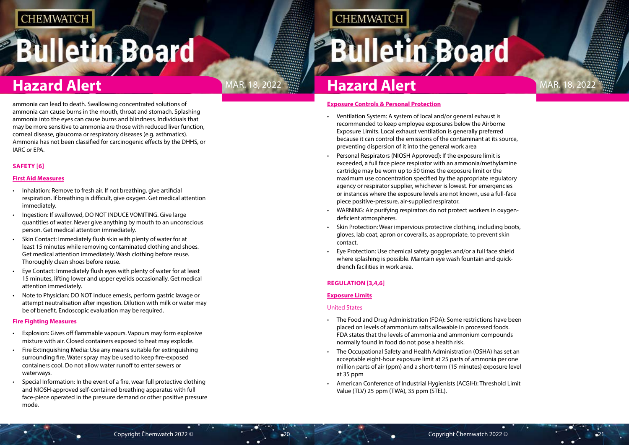# **Bulletin Board**

## **Hazard Alert** MAR. 18, 2022 **Hazard Alert** MAR. 18, 2022

## **Exposure Controls & Personal Protection**

**CHEMWATCH** 

- Ventilation System: A system of local and/or general exhaust is recommended to keep employee exposures below the Airborne Exposure Limits. Local exhaust ventilation is generally preferred because it can control the emissions of the contaminant at its source, preventing dispersion of it into the general work area
- Personal Respirators (NIOSH Approved): If the exposure limit is exceeded, a full face piece respirator with an ammonia/methylamine cartridge may be worn up to 50 times the exposure limit or the maximum use concentration specified by the appropriate regulatory agency or respirator supplier, whichever is lowest. For emergencies or instances where the exposure levels are not known, use a full-face piece positive-pressure, air-supplied respirator.
- WARNING: Air purifying respirators do not protect workers in oxygendeficient atmospheres.
- Skin Protection: Wear impervious protective clothing, including boots, gloves, lab coat, apron or coveralls, as appropriate, to prevent skin contact.
- Eye Protection: Use chemical safety goggles and/or a full face shield where splashing is possible. Maintain eye wash fountain and quickdrench facilities in work area.

### **REGULATION [3,4,6]**

### **Exposure Limits**

## United States

- The Food and Drug Administration (FDA): Some restrictions have been placed on levels of ammonium salts allowable in processed foods. FDA states that the levels of ammonia and ammonium compounds normally found in food do not pose a health risk.
- The Occupational Safety and Health Administration (OSHA) has set an acceptable eight-hour exposure limit at 25 parts of ammonia per one million parts of air (ppm) and a short-term (15 minutes) exposure level at 35 ppm
- American Conference of Industrial Hygienists (ACGIH): Threshold Limit Value (TLV) 25 ppm (TWA), 35 ppm (STEL).

# **Illetin Board**

ammonia can lead to death. Swallowing concentrated solutions of ammonia can cause burns in the mouth, throat and stomach. Splashing ammonia into the eyes can cause burns and blindness. Individuals that may be more sensitive to ammonia are those with reduced liver function, corneal disease, glaucoma or respiratory diseases (e.g. asthmatics). Ammonia has not been classified for carcinogenic effects by the DHHS, or IARC or EPA.

## **SAFETY [6]**

## **First Aid Measures**

- Inhalation: Remove to fresh air. If not breathing, give artificial respiration. If breathing is difficult, give oxygen. Get medical attention immediately.
- Ingestion: If swallowed, DO NOT INDUCE VOMITING. Give large quantities of water. Never give anything by mouth to an unconscious person. Get medical attention immediately.
- Skin Contact: Immediately flush skin with plenty of water for at least 15 minutes while removing contaminated clothing and shoes. Get medical attention immediately. Wash clothing before reuse. Thoroughly clean shoes before reuse.
- Eye Contact: Immediately flush eyes with plenty of water for at least 15 minutes, lifting lower and upper eyelids occasionally. Get medical attention immediately.
- Note to Physician: DO NOT induce emesis, perform gastric lavage or attempt neutralisation after ingestion. Dilution with milk or water may be of benefit. Endoscopic evaluation may be required.

### **Fire Fighting Measures**

- Explosion: Gives off flammable vapours. Vapours may form explosive mixture with air. Closed containers exposed to heat may explode.
- Fire Extinguishing Media: Use any means suitable for extinguishing surrounding fire. Water spray may be used to keep fire-exposed containers cool. Do not allow water runoff to enter sewers or waterways.
- Special Information: In the event of a fire, wear full protective clothing and NIOSH-approved self-contained breathing apparatus with full face-piece operated in the pressure demand or other positive pressure mode.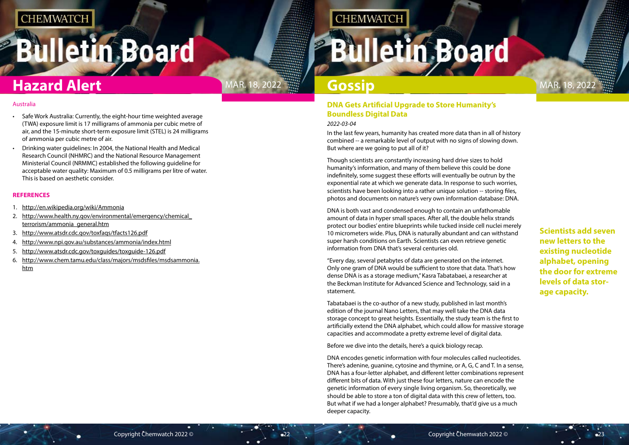# <span id="page-11-0"></span>**Bulletin Board**



Mar. 18, 2022

**Scientists add seven new letters to the existing nucleotide alphabet, opening the door for extreme levels of data storage capacity.**

## **Hazard Alert**

## **DNA Gets Artificial Upgrade to Store Humanity's Boundless Digital Data**

### *2022-03-04*

In the last few years, humanity has created more data than in all of history combined -- a remarkable level of output with no signs of slowing down. But where are we going to put all of it?

Though scientists are constantly increasing hard drive sizes to hold humanity's information, and many of them believe this could be done indefinitely, some suggest these efforts will eventually be outrun by the exponential rate at which we generate data. In response to such worries, scientists have been looking into a rather unique solution -- storing files, photos and documents on nature's very own information database: DNA.

DNA is both vast and condensed enough to contain an unfathomable amount of data in hyper small spaces. After all, the double helix strands protect our bodies' entire blueprints while tucked inside cell nuclei merely 10 micrometers wide. Plus, DNA is naturally abundant and can withstand super harsh conditions on Earth. Scientists can even retrieve genetic information from DNA that's several centuries old.

"Every day, several petabytes of data are generated on the internet. Only one gram of DNA would be sufficient to store that data. That's how dense DNA is as a storage medium," Kasra Tabatabaei, a researcher at the Beckman Institute for Advanced Science and Technology, said in a statement.

Tabatabaei is the co-author of a new study, published in last month's edition of the journal Nano Letters, that may well take the DNA data storage concept to great heights. Essentially, the study team is the first to artificially extend the DNA alphabet, which could allow for massive storage capacities and accommodate a pretty extreme level of digital data.

Before we dive into the details, here's a quick biology recap.

DNA encodes genetic information with four molecules called nucleotides. There's adenine, guanine, cytosine and thymine, or A, G, C and T. In a sense, DNA has a four-letter alphabet, and different letter combinations represent different bits of data. With just these four letters, nature can encode the genetic information of every single living organism. So, theoretically, we should be able to store a ton of digital data with this crew of letters, too. But what if we had a longer alphabet? Presumably, that'd give us a much deeper capacity.

## **Gossip**

**CHEMWATCH** 

### Australia

- Safe Work Australia: Currently, the eight-hour time weighted average (TWA) exposure limit is 17 milligrams of ammonia per cubic metre of air, and the 15-minute short-term exposure limit (STEL) is 24 milligrams of ammonia per cubic metre of air.
- Drinking water guidelines: In 2004, the National Health and Medical Research Council (NHMRC) and the National Resource Management Ministerial Council (NRMMC) established the following guideline for acceptable water quality: Maximum of 0.5 milligrams per litre of water. This is based on aesthetic consider.

### **REFERENCES**

- 1. <http://en.wikipedia.org/wiki/Ammonia>
- 2. [http://www.health.ny.gov/environmental/emergency/chemical\\_](http://www.health.ny.gov/environmental/emergency/chemical_terrorism/ammonia_general.htm) [terrorism/ammonia\\_general.htm](http://www.health.ny.gov/environmental/emergency/chemical_terrorism/ammonia_general.htm)
- 3. <http://www.atsdr.cdc.gov/toxfaqs/tfacts126.pdf>
- 4. <http://www.npi.gov.au/substances/ammonia/index.html>
- 5. <http://www.atsdr.cdc.gov/toxguides/toxguide-126.pdf>
- 6. [http://www.chem.tamu.edu/class/majors/msdsfiles/msdsammonia.](http://www.chem.tamu.edu/class/majors/msdsfiles/msdsammonia.htm) [htm](http://www.chem.tamu.edu/class/majors/msdsfiles/msdsammonia.htm)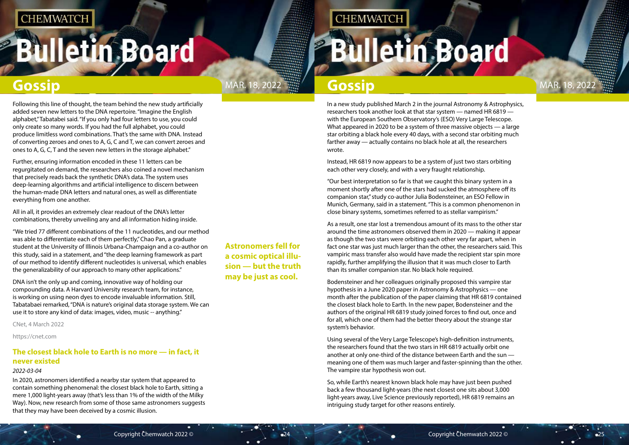# <span id="page-12-0"></span>**Illetin Board**

MAR. 18, 2022 **MAR. 18, 2022 Gossip Gossip Gossip Gossip Gossip** 

**Astronomers fell for** 

**a cosmic optical illusion — but the truth may be just as cool.**

In a new study published March 2 in the journal Astronomy & Astrophysics, researchers took another look at that star system — named HR 6819 with the European Southern Observatory's (ESO) Very Large Telescope. What appeared in 2020 to be a system of three massive objects — a large star orbiting a black hole every 40 days, with a second star orbiting much farther away — actually contains no black hole at all, the researchers wrote.

Instead, HR 6819 now appears to be a system of just two stars orbiting each other very closely, and with a very fraught relationship.

"Our best interpretation so far is that we caught this binary system in a moment shortly after one of the stars had sucked the atmosphere off its companion star," study co-author Julia Bodensteiner, an ESO Fellow in Munich, Germany, said in a statement. "This is a common phenomenon in close binary systems, sometimes referred to as stellar vampirism."

As a result, one star lost a tremendous amount of its mass to the other star around the time astronomers observed them in 2020 — making it appear as though the two stars were orbiting each other very far apart, when in fact one star was just much larger than the other, the researchers said. This vampiric mass transfer also would have made the recipient star spin more rapidly, further amplifying the illusion that it was much closer to Earth than its smaller companion star. No black hole required.

Bodensteiner and her colleagues originally proposed this vampire star hypothesis in a June 2020 paper in Astronomy & Astrophysics — one month after the publication of the paper claiming that HR 6819 contained the closest black hole to Earth. In the new paper, Bodensteiner and the authors of the original HR 6819 study joined forces to find out, once and for all, which one of them had the better theory about the strange star system's behavior.

Using several of the Very Large Telescope's high-definition instruments, the researchers found that the two stars in HR 6819 actually orbit one another at only one-third of the distance between Earth and the sun meaning one of them was much larger and faster-spinning than the other. The vampire star hypothesis won out.

So, while Earth's nearest known black hole may have just been pushed back a few thousand light-years (the next closest one sits about 3,000 light-years away, Live Science previously reported), HR 6819 remains an intriguing study target for other reasons entirely.

# **Illetin Board**

Following this line of thought, the team behind the new study artificially added seven new letters to the DNA repertoire. "Imagine the English alphabet," Tabatabei said. "If you only had four letters to use, you could only create so many words. If you had the full alphabet, you could produce limitless word combinations. That's the same with DNA. Instead of converting zeroes and ones to A, G, C and T, we can convert zeroes and ones to A, G, C, T and the seven new letters in the storage alphabet."

Further, ensuring information encoded in these 11 letters can be regurgitated on demand, the researchers also coined a novel mechanism that precisely reads back the synthetic DNA's data. The system uses deep-learning algorithms and artificial intelligence to discern between the human-made DNA letters and natural ones, as well as differentiate everything from one another.

All in all, it provides an extremely clear readout of the DNA's letter combinations, thereby unveiling any and all information hiding inside.

"We tried 77 different combinations of the 11 nucleotides, and our method was able to differentiate each of them perfectly," Chao Pan, a graduate student at the University of Illinois Urbana-Champaign and a co-author on this study, said in a statement, and "the deep learning framework as part of our method to identify different nucleotides is universal, which enables the generalizability of our approach to many other applications."

DNA isn't the only up and coming, innovative way of holding our compounding data. A Harvard University research team, for instance, is working on using neon dyes to encode invaluable information. Still, Tabatabaei remarked, "DNA is nature's original data storage system. We can use it to store any kind of data: images, video, music -- anything."

CNet, 4 March 2022

https://cnet.com

## **The closest black hole to Earth is no more — in fact, it never existed**

### *2022-03-04*

In 2020, astronomers identified a nearby star system that appeared to contain something phenomenal: the closest black hole to Earth, sitting a mere 1,000 light-years away (that's less than 1% of the width of the Milky Way). Now, new research from some of those same astronomers suggests that they may have been deceived by a cosmic illusion.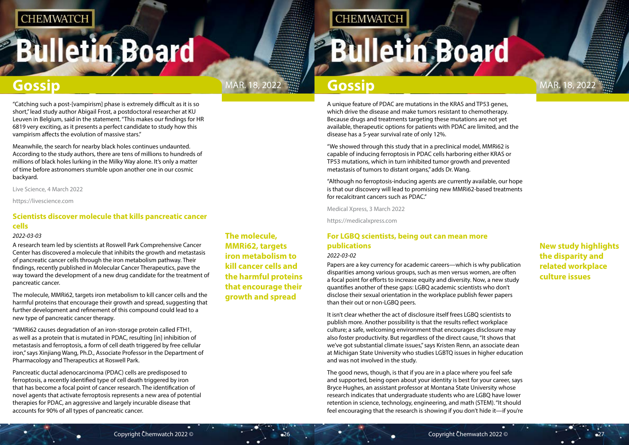# <span id="page-13-0"></span>**Bulletin Board**



**New study highlights the disparity and related workplace culture issues**

**The molecule, MMRi62, targets iron metabolism to kill cancer cells and the harmful proteins that encourage their growth and spread**

## **CHEMWATCH**

# **Bulletin Board**

## **Gossip Gossip Gossip Gossip Gossip**

A unique feature of PDAC are mutations in the KRAS and TP53 genes, which drive the disease and make tumors resistant to chemotherapy. Because drugs and treatments targeting these mutations are not yet available, therapeutic options for patients with PDAC are limited, and the disease has a 5-year survival rate of only 12%.

"We showed through this study that in a preclinical model, MMRi62 is capable of inducing ferroptosis in PDAC cells harboring either KRAS or TP53 mutations, which in turn inhibited tumor growth and prevented metastasis of tumors to distant organs," adds Dr. Wang.

"Although no ferroptosis-inducing agents are currently available, our hope is that our discovery will lead to promising new MMRi62-based treatments for recalcitrant cancers such as PDAC."

Medical Xpress, 3 March 2022

https://medicalxpress.com

## **For LGBQ scientists, being out can mean more publications**

*2022-03-02*

Papers are a key currency for academic careers—which is why publication disparities among various groups, such as men versus women, are often a focal point for efforts to increase equity and diversity. Now, a new study quantifies another of these gaps: LGBQ academic scientists who don't disclose their sexual orientation in the workplace publish fewer papers than their out or non-LGBQ peers.

It isn't clear whether the act of disclosure itself frees LGBQ scientists to publish more. Another possibility is that the results reflect workplace culture; a safe, welcoming environment that encourages disclosure may also foster productivity. But regardless of the direct cause, "It shows that we've got substantial climate issues," says Kristen Renn, an associate dean at Michigan State University who studies LGBTQ issues in higher education and was not involved in the study.

The good news, though, is that if you are in a place where you feel safe and supported, being open about your identity is best for your career, says Bryce Hughes, an assistant professor at Montana State University whose research indicates that undergraduate students who are LGBQ have lower retention in science, technology, engineering, and math (STEM). "It should feel encouraging that the research is showing if you don't hide it—if you're

"Catching such a post-[vampirism] phase is extremely difficult as it is so short," lead study author Abigail Frost, a postdoctoral researcher at KU Leuven in Belgium, said in the statement. "This makes our findings for HR 6819 very exciting, as it presents a perfect candidate to study how this vampirism affects the evolution of massive stars."

Meanwhile, the search for nearby black holes continues undaunted. According to the study authors, there are tens of millions to hundreds of millions of black holes lurking in the Milky Way alone. It's only a matter of time before astronomers stumble upon another one in our cosmic backyard.

Live Science, 4 March 2022

https://livescience.com

## **Scientists discover molecule that kills pancreatic cancer cells**

### *2022-03-03*

A research team led by scientists at Roswell Park Comprehensive Cancer Center has discovered a molecule that inhibits the growth and metastasis of pancreatic cancer cells through the iron metabolism pathway. Their findings, recently published in Molecular Cancer Therapeutics, pave the way toward the development of a new drug candidate for the treatment of pancreatic cancer.

The molecule, MMRi62, targets iron metabolism to kill cancer cells and the harmful proteins that encourage their growth and spread, suggesting that further development and refinement of this compound could lead to a new type of pancreatic cancer therapy.

"MMRi62 causes degradation of an iron-storage protein called FTH1, as well as a protein that is mutated in PDAC, resulting [in] inhibition of metastasis and ferroptosis, a form of cell death triggered by free cellular iron," says Xinjiang Wang, Ph.D., Associate Professor in the Department of Pharmacology and Therapeutics at Roswell Park.

Pancreatic ductal adenocarcinoma (PDAC) cells are predisposed to ferroptosis, a recently identified type of cell death triggered by iron that has become a focal point of cancer research. The identification of novel agents that activate ferroptosis represents a new area of potential therapies for PDAC, an aggressive and largely incurable disease that accounts for 90% of all types of pancreatic cancer.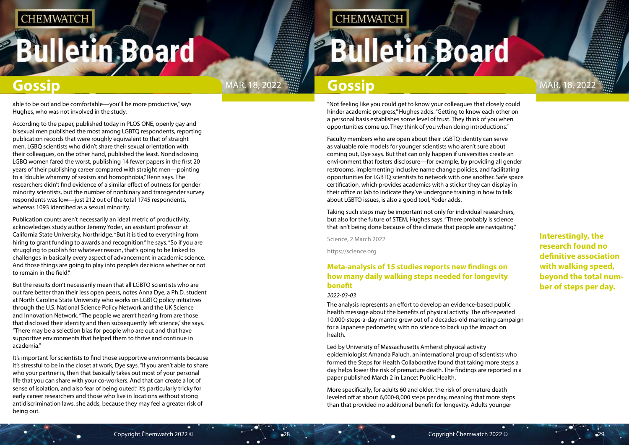# <span id="page-14-0"></span>**Bulletin Board**

MAR. 18, 2022 **MAR. 18, 2022 Gossip Gossip Gossip Gossip Gossip** 

> **Interestingly, the research found no definitive association with walking speed, beyond the total number of steps per day.**

"Not feeling like you could get to know your colleagues that closely could hinder academic progress," Hughes adds. "Getting to know each other on a personal basis establishes some level of trust. They think of you when opportunities come up. They think of you when doing introductions."

Faculty members who are open about their LGBTQ identity can serve as valuable role models for younger scientists who aren't sure about coming out, Dye says. But that can only happen if universities create an environment that fosters disclosure—for example, by providing all gender restrooms, implementing inclusive name change policies, and facilitating opportunities for LGBTQ scientists to network with one another. Safe space certification, which provides academics with a sticker they can display in their office or lab to indicate they've undergone training in how to talk about LGBTQ issues, is also a good tool, Yoder adds.

Taking such steps may be important not only for individual researchers, but also for the future of STEM, Hughes says. "There probably is science that isn't being done because of the climate that people are navigating."

Science, 2 March 2022

https://science.org

## **Meta-analysis of 15 studies reports new findings on how many daily walking steps needed for longevity benefit**

### *2022-03-03*

The analysis represents an effort to develop an evidence-based public health message about the benefits of physical activity. The oft-repeated 10,000-steps-a-day mantra grew out of a decades-old marketing campaign for a Japanese pedometer, with no science to back up the impact on health.

Led by University of Massachusetts Amherst physical activity epidemiologist Amanda Paluch, an international group of scientists who formed the Steps for Health Collaborative found that taking more steps a day helps lower the risk of premature death. The findings are reported in a paper published March 2 in Lancet Public Health.

More specifically, for adults 60 and older, the risk of premature death leveled off at about 6,000-8,000 steps per day, meaning that more steps than that provided no additional benefit for longevity. Adults younger

# **Illetin Board**

able to be out and be comfortable—you'll be more productive," says Hughes, who was not involved in the study.

According to the paper, published today in PLOS ONE, openly gay and bisexual men published the most among LGBTQ respondents, reporting publication records that were roughly equivalent to that of straight men. LGBQ scientists who didn't share their sexual orientation with their colleagues, on the other hand, published the least. Nondisclosing LGBQ women fared the worst, publishing 14 fewer papers in the first 20 years of their publishing career compared with straight men—pointing to a "double whammy of sexism and homophobia," Renn says. The researchers didn't find evidence of a similar effect of outness for gender minority scientists, but the number of nonbinary and transgender survey respondents was low—just 212 out of the total 1745 respondents, whereas 1093 identified as a sexual minority.

Publication counts aren't necessarily an ideal metric of productivity, acknowledges study author Jeremy Yoder, an assistant professor at California State University, Northridge. "But it is tied to everything from hiring to grant funding to awards and recognition," he says. "So if you are struggling to publish for whatever reason, that's going to be linked to challenges in basically every aspect of advancement in academic science. And those things are going to play into people's decisions whether or not to remain in the field."

But the results don't necessarily mean that all LGBTQ scientists who are out fare better than their less open peers, notes Anna Dye, a Ph.D. student at North Carolina State University who works on LGBTQ policy initiatives through the U.S. National Science Policy Network and the UK Science and Innovation Network. "The people we aren't hearing from are those that disclosed their identity and then subsequently left science," she says. "There may be a selection bias for people who are out and that have supportive environments that helped them to thrive and continue in academia."

It's important for scientists to find those supportive environments because it's stressful to be in the closet at work, Dye says. "If you aren't able to share who your partner is, then that basically takes out most of your personal life that you can share with your co-workers. And that can create a lot of sense of isolation, and also fear of being outed." It's particularly tricky for early career researchers and those who live in locations without strong antidiscrimination laws, she adds, because they may feel a greater risk of being out.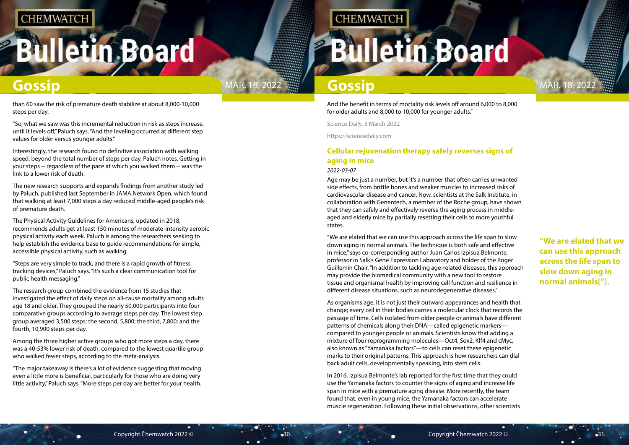# <span id="page-15-0"></span>**Bulletin Board**

**Gossip Gossip Gossip Gossip Gossip** 



**"We are elated that we can use this approach across the life span to slow down aging in normal animals["].**

And the benefit in terms of mortality risk levels off around 6,000 to 8,000 for older adults and 8,000 to 10,000 for younger adults."

Science Daily, 3 March 2022

**CHEMWATCH** 

https://sciencedaily.com

## **Cellular rejuvenation therapy safely reverses signs of aging in mice**

## *2022-03-07*

Age may be just a number, but it's a number that often carries unwanted side effects, from brittle bones and weaker muscles to increased risks of cardiovascular disease and cancer. Now, scientists at the Salk Institute, in collaboration with Genentech, a member of the Roche group, have shown that they can safely and effectively reverse the aging process in middleaged and elderly mice by partially resetting their cells to more youthful states.

"We are elated that we can use this approach across the life span to slow down aging in normal animals. The technique is both safe and effective in mice," says co-corresponding author Juan Carlos Izpisua Belmonte, professor in Salk's Gene Expression Laboratory and holder of the Roger Guillemin Chair. "In addition to tackling age-related diseases, this approach may provide the biomedical community with a new tool to restore tissue and organismal health by improving cell function and resilience in different disease situations, such as neurodegenerative diseases."

As organisms age, it is not just their outward appearances and health that change; every cell in their bodies carries a molecular clock that records the passage of time. Cells isolated from older people or animals have different patterns of chemicals along their DNA—called epigenetic markers compared to younger people or animals. Scientists know that adding a mixture of four reprogramming molecules—Oct4, Sox2, Klf4 and cMyc, also known as "Yamanaka factors"—to cells can reset these epigenetic marks to their original patterns. This approach is how researchers can dial back adult cells, developmentally speaking, into stem cells.

In 2016, Izpisua Belmonte's lab reported for the first time that they could use the Yamanaka factors to counter the signs of aging and increase life span in mice with a premature aging disease. More recently, the team found that, even in young mice, the Yamanaka factors can accelerate muscle regeneration. Following these initial observations, other scientists

than 60 saw the risk of premature death stabilize at about 8,000-10,000 steps per day.

"So, what we saw was this incremental reduction in risk as steps increase, until it levels off," Paluch says. "And the leveling occurred at different step values for older versus younger adults."

Interestingly, the research found no definitive association with walking speed, beyond the total number of steps per day, Paluch notes. Getting in your steps -- regardless of the pace at which you walked them -- was the link to a lower risk of death.

The new research supports and expands findings from another study led by Paluch, published last September in JAMA Network Open, which found that walking at least 7,000 steps a day reduced middle-aged people's risk of premature death.

The Physical Activity Guidelines for Americans, updated in 2018, recommends adults get at least 150 minutes of moderate-intensity aerobic physical activity each week. Paluch is among the researchers seeking to help establish the evidence base to guide recommendations for simple, accessible physical activity, such as walking.

"Steps are very simple to track, and there is a rapid growth of fitness tracking devices," Paluch says. "It's such a clear communication tool for public health messaging."

The research group combined the evidence from 15 studies that investigated the effect of daily steps on all-cause mortality among adults age 18 and older. They grouped the nearly 50,000 participants into four comparative groups according to average steps per day. The lowest step group averaged 3,500 steps; the second, 5,800; the third, 7,800; and the fourth, 10,900 steps per day.

Among the three higher active groups who got more steps a day, there was a 40-53% lower risk of death, compared to the lowest quartile group who walked fewer steps, according to the meta-analysis.

"The major takeaway is there's a lot of evidence suggesting that moving even a little more is beneficial, particularly for those who are doing very little activity," Paluch says. "More steps per day are better for your health.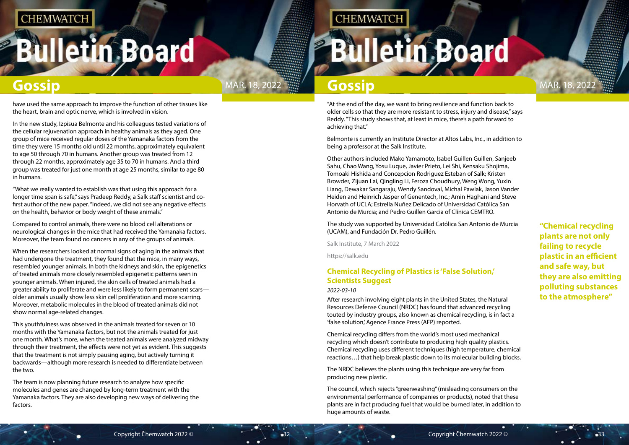# <span id="page-16-0"></span>**Bulletin Board**

**"Chemical recycling plants are not only failing to recycle plastic in an efficient and safe way, but they are also emitting polluting substances to the atmosphere"**

## **Gossip Gossip**

MAR. 18, 2022 **MAR. 18, 2022** 

"At the end of the day, we want to bring resilience and function back to older cells so that they are more resistant to stress, injury and disease," says Reddy. "This study shows that, at least in mice, there's a path forward to achieving that."

Belmonte is currently an Institute Director at Altos Labs, Inc., in addition to being a professor at the Salk Institute.

Other authors included Mako Yamamoto, Isabel Guillen Guillen, Sanjeeb Sahu, Chao Wang, Yosu Luque, Javier Prieto, Lei Shi, Kensaku Shojima, Tomoaki Hishida and Concepcion Rodriguez Esteban of Salk; Kristen Browder, Zijuan Lai, Qingling Li, Feroza Choudhury, Weng Wong, Yuxin Liang, Dewakar Sangaraju, Wendy Sandoval, Michal Pawlak, Jason Vander Heiden and Heinrich Jasper of Genentech, Inc.; Amin Haghani and Steve Horvath of UCLA; Estrella Nuñez Delicado of Universidad Católica San Antonio de Murcia; and Pedro Guillen Garcia of Clínica CEMTRO.

The study was supported by Universidad Católica San Antonio de Murcia (UCAM), and Fundación Dr. Pedro Guillén.

Salk Institute, 7 March 2022

https://salk.edu

## **Chemical Recycling of Plastics is 'False Solution,' Scientists Suggest**

### *2022-03-10*

After research involving eight plants in the United States, the Natural Resources Defense Council (NRDC) has found that advanced recycling touted by industry groups, also known as chemical recycling, is in fact a 'false solution,' Agence France Press (AFP) reported.

Chemical recycling differs from the world's most used mechanical recycling which doesn't contribute to producing high quality plastics. Chemical recycling uses different techniques (high temperature, chemical reactions…) that help break plastic down to its molecular building blocks.

The NRDC believes the plants using this technique are very far from producing new plastic.

The council, which rejects "greenwashing" (misleading consumers on the environmental performance of companies or products), noted that these plants are in fact producing fuel that would be burned later, in addition to huge amounts of waste.



have used the same approach to improve the function of other tissues like the heart, brain and optic nerve, which is involved in vision.

In the new study, Izpisua Belmonte and his colleagues tested variations of the cellular rejuvenation approach in healthy animals as they aged. One group of mice received regular doses of the Yamanaka factors from the time they were 15 months old until 22 months, approximately equivalent to age 50 through 70 in humans. Another group was treated from 12 through 22 months, approximately age 35 to 70 in humans. And a third group was treated for just one month at age 25 months, similar to age 80 in humans.

"What we really wanted to establish was that using this approach for a longer time span is safe," says Pradeep Reddy, a Salk staff scientist and cofirst author of the new paper. "Indeed, we did not see any negative effects on the health, behavior or body weight of these animals."

Compared to control animals, there were no blood cell alterations or neurological changes in the mice that had received the Yamanaka factors. Moreover, the team found no cancers in any of the groups of animals.

When the researchers looked at normal signs of aging in the animals that had undergone the treatment, they found that the mice, in many ways, resembled younger animals. In both the kidneys and skin, the epigenetics of treated animals more closely resembled epigenetic patterns seen in younger animals. When injured, the skin cells of treated animals had a greater ability to proliferate and were less likely to form permanent scars older animals usually show less skin cell proliferation and more scarring. Moreover, metabolic molecules in the blood of treated animals did not show normal age-related changes.

This youthfulness was observed in the animals treated for seven or 10 months with the Yamanaka factors, but not the animals treated for just one month. What's more, when the treated animals were analyzed midway through their treatment, the effects were not yet as evident. This suggests that the treatment is not simply pausing aging, but actively turning it backwards—although more research is needed to differentiate between the two.

The team is now planning future research to analyze how specific molecules and genes are changed by long-term treatment with the Yamanaka factors. They are also developing new ways of delivering the factors.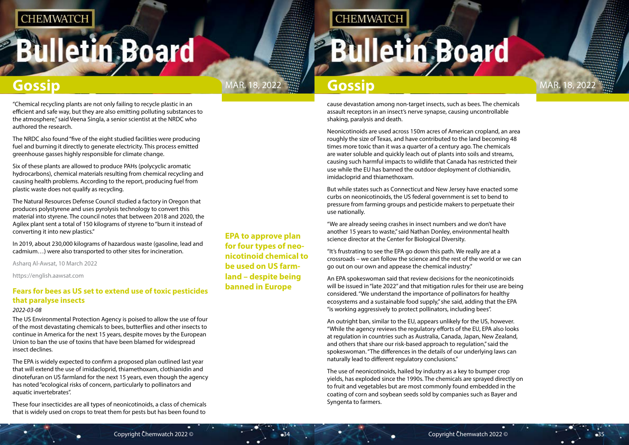# <span id="page-17-0"></span>**Bulletin Board**

**Gossip Gossip Gossip Gossip Gossip** 



**EPA to approve plan for four types of neonicotinoid chemical to** 

**be used on US farmland – despite being** 

**banned in Europe**

cause devastation among non-target insects, such as bees. The chemicals assault receptors in an insect's nerve synapse, causing uncontrollable shaking, paralysis and death.

Neonicotinoids are used across 150m acres of American cropland, an area roughly the size of Texas, and have contributed to the land becoming 48 times more toxic than it was a quarter of a century ago. The chemicals are water soluble and quickly leach out of plants into soils and streams, causing such harmful impacts to wildlife that Canada has restricted their use while the EU has banned the outdoor deployment of clothianidin, imidacloprid and thiamethoxam.

But while states such as Connecticut and New Jersey have enacted some curbs on neonicotinoids, the US federal government is set to bend to pressure from farming groups and pesticide makers to perpetuate their use nationally.

"We are already seeing crashes in insect numbers and we don't have another 15 years to waste," said Nathan Donley, environmental health science director at the Center for Biological Diversity.

"It's frustrating to see the EPA go down this path. We really are at a crossroads – we can follow the science and the rest of the world or we can go out on our own and appease the chemical industry."

An EPA spokeswoman said that review decisions for the neonicotinoids will be issued in "late 2022" and that mitigation rules for their use are being considered. "We understand the importance of pollinators for healthy ecosystems and a sustainable food supply," she said, adding that the EPA "is working aggressively to protect pollinators, including bees".

An outright ban, similar to the EU, appears unlikely for the US, however. "While the agency reviews the regulatory efforts of the EU, EPA also looks at regulation in countries such as Australia, Canada, Japan, New Zealand, and others that share our risk-based approach to regulation," said the spokeswoman. "The differences in the details of our underlying laws can naturally lead to different regulatory conclusions."

The use of neonicotinoids, hailed by industry as a key to bumper crop yields, has exploded since the 1990s. The chemicals are sprayed directly on to fruit and vegetables but are most commonly found embedded in the coating of corn and soybean seeds sold by companies such as Bayer and Syngenta to farmers.

"Chemical recycling plants are not only failing to recycle plastic in an efficient and safe way, but they are also emitting polluting substances to the atmosphere," said Veena Singla, a senior scientist at the NRDC who authored the research.

The NRDC also found "five of the eight studied facilities were producing fuel and burning it directly to generate electricity. This process emitted greenhouse gasses highly responsible for climate change.

Six of these plants are allowed to produce PAHs (polycyclic aromatic hydrocarbons), chemical materials resulting from chemical recycling and causing health problems. According to the report, producing fuel from plastic waste does not qualify as recycling.

The Natural Resources Defense Council studied a factory in Oregon that produces polystyrene and uses pyrolysis technology to convert this material into styrene. The council notes that between 2018 and 2020, the Agilex plant sent a total of 150 kilograms of styrene to "burn it instead of converting it into new plastics."

In 2019, about 230,000 kilograms of hazardous waste (gasoline, lead and cadmium…) were also transported to other sites for incineration.

Asharq Al-Awsat, 10 March 2022

https://english.aawsat.com

## **Fears for bees as US set to extend use of toxic pesticides that paralyse insects**

### *2022-03-08*

The US Environmental Protection Agency is poised to allow the use of four of the most devastating chemicals to bees, butterflies and other insects to continue in America for the next 15 years, despite moves by the European Union to ban the use of toxins that have been blamed for widespread insect declines.

The EPA is widely expected to confirm a proposed plan outlined last year that will extend the use of imidacloprid, thiamethoxam, clothianidin and dinotefuran on US farmland for the next 15 years, even though the agency has noted "ecological risks of concern, particularly to pollinators and aquatic invertebrates".

These four insecticides are all types of neonicotinoids, a class of chemicals that is widely used on crops to treat them for pests but has been found to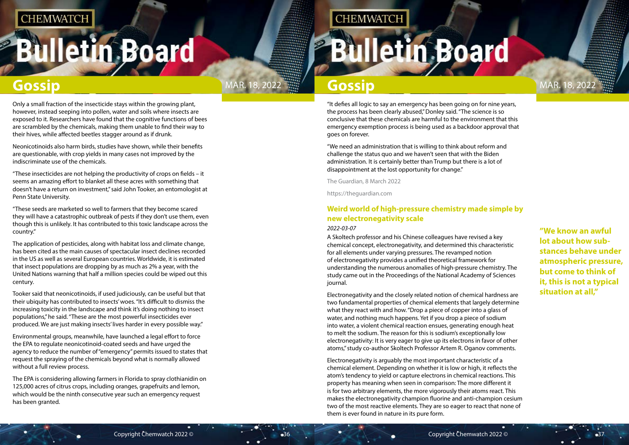# <span id="page-18-0"></span>**Bulletin Board**



**"We know an awful lot about how substances behave under atmospheric pressure, but come to think of it, this is not a typical situation at all,"**

"It defies all logic to say an emergency has been going on for nine years, the process has been clearly abused," Donley said. "The science is so conclusive that these chemicals are harmful to the environment that this emergency exemption process is being used as a backdoor approval that goes on forever.

"We need an administration that is willing to think about reform and challenge the status quo and we haven't seen that with the Biden administration. It is certainly better than Trump but there is a lot of disappointment at the lost opportunity for change."

The Guardian, 8 March 2022

https://theguardian.com

## **Weird world of high-pressure chemistry made simple by new electronegativity scale**

### *2022-03-07*

A Skoltech professor and his Chinese colleagues have revised a key chemical concept, electronegativity, and determined this characteristic for all elements under varying pressures. The revamped notion of electronegativity provides a unified theoretical framework for understanding the numerous anomalies of high-pressure chemistry. The study came out in the Proceedings of the National Academy of Sciences journal.

Electronegativity and the closely related notion of chemical hardness are two fundamental properties of chemical elements that largely determine what they react with and how. "Drop a piece of copper into a glass of water, and nothing much happens. Yet if you drop a piece of sodium into water, a violent chemical reaction ensues, generating enough heat to melt the sodium. The reason for this is sodium's exceptionally low electronegativity: It is very eager to give up its electrons in favor of other atoms," study co-author Skoltech Professor Artem R. Oganov comments.

Electronegativity is arguably the most important characteristic of a chemical element. Depending on whether it is low or high, it reflects the atom's tendency to yield or capture electrons in chemical reactions. This property has meaning when seen in comparison: The more different it is for two arbitrary elements, the more vigorously their atoms react. This makes the electronegativity champion fluorine and anti-champion cesium two of the most reactive elements. They are so eager to react that none of them is ever found in nature in its pure form.

Only a small fraction of the insecticide stays within the growing plant, however, instead seeping into pollen, water and soils where insects are exposed to it. Researchers have found that the cognitive functions of bees are scrambled by the chemicals, making them unable to find their way to their hives, while affected beetles stagger around as if drunk.

Neonicotinoids also harm birds, studies have shown, while their benefits are questionable, with crop yields in many cases not improved by the indiscriminate use of the chemicals.

"These insecticides are not helping the productivity of crops on fields – it seems an amazing effort to blanket all these acres with something that doesn't have a return on investment," said John Tooker, an entomologist at Penn State University.

"These seeds are marketed so well to farmers that they become scared they will have a catastrophic outbreak of pests if they don't use them, even though this is unlikely. It has contributed to this toxic landscape across the country."

The application of pesticides, along with habitat loss and climate change, has been cited as the main causes of spectacular insect declines recorded in the US as well as several European countries. Worldwide, it is estimated that insect populations are dropping by as much as 2% a year, with the United Nations warning that half a million species could be wiped out this century.

Tooker said that neonicotinoids, if used judiciously, can be useful but that their ubiquity has contributed to insects' woes. "It's difficult to dismiss the increasing toxicity in the landscape and think it's doing nothing to insect populations," he said. "These are the most powerful insecticides ever produced. We are just making insects' lives harder in every possible way."

Environmental groups, meanwhile, have launched a legal effort to force the EPA to regulate neonicotinoid-coated seeds and have urged the agency to reduce the number of "emergency" permits issued to states that request the spraying of the chemicals beyond what is normally allowed without a full review process.

The EPA is considering allowing farmers in Florida to spray clothianidin on 125,000 acres of citrus crops, including oranges, grapefruits and lemon, which would be the ninth consecutive year such an emergency request has been granted.

## **CHEMWATCH**

# **Bulletin Board**

## **Gossip Gossip Gossip Gossip Gossip**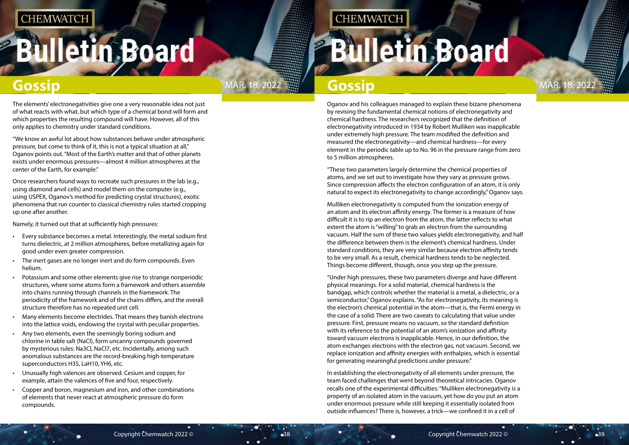# **Bulletin Board**

**Gossip MAR. 18, 2022 <b>Gossip** MAR. 18, 2022 **Gossip** MAR. 18, 2022

**CHEMWATCH** 

Oganov and his colleagues managed to explain these bizarre phenomena by revising the fundamental chemical notions of electronegativity and chemical hardness. The researchers recognized that the definition of electronegativity introduced in 1934 by Robert Mulliken was inapplicable under extremely high pressure. The team modified the definition and measured the electronegativity—and chemical hardness—for every element in the periodic table up to No. 96 in the pressure range from zero to 5 million atmospheres.

"These two parameters largely determine the chemical properties of atoms, and we set out to investigate how they vary as pressure grows. Since compression affects the electron configuration of an atom, it is only natural to expect its electronegativity to change accordingly," Oganov says.

Mulliken electronegativity is computed from the ionization energy of an atom and its electron affinity energy. The former is a measure of how difficult it is to rip an electron from the atom, the latter reflects to what extent the atom is "willing" to grab an electron from the surrounding vacuum. Half the sum of these two values yields electronegativity, and half the difference between them is the element's chemical hardness. Under standard conditions, they are very similar because electron affinity tends to be very small. As a result, chemical hardness tends to be neglected. Things become different, though, once you step up the pressure.

"Under high pressures, these two parameters diverge and have different physical meanings. For a solid material, chemical hardness is the bandgap, which controls whether the material is a metal, a dielectric, or a semiconductor," Oganov explains. "As for electronegativity, its meaning is the electron's chemical potential in the atom—that is, the Fermi energy in the case of a solid. There are two caveats to calculating that value under pressure. First, pressure means no vacuum, so the standard definition with its reference to the potential of an atom's ionization and affinity toward vacuum electrons is inapplicable. Hence, in our definition, the atom exchanges electrons with the electron gas, not vacuum. Second, we replace ionization and affinity energies with enthalpies, which is essential for generating meaningful predictions under pressure."

In establishing the electronegativity of all elements under pressure, the team faced challenges that went beyond theoretical intricacies. Oganov recalls one of the experimental difficulties: "Mulliken electronegativity is a property of an isolated atom in the vacuum, yet how do you put an atom under enormous pressure while still keeping it essentially isolated from outside influences? There is, however, a trick—we confined it in a cell of

# **Illetin Board**

The elements' electronegativities give one a very reasonable idea not just of what reacts with what, but which type of a chemical bond will form and which properties the resulting compound will have. However, all of this only applies to chemistry under standard conditions.

"We know an awful lot about how substances behave under atmospheric pressure, but come to think of it, this is not a typical situation at all," Oganov points out. "Most of the Earth's matter and that of other planets exists under enormous pressures—almost 4 million atmospheres at the center of the Earth, for example."

Once researchers found ways to recreate such pressures in the lab (e.g., using diamond anvil cells) and model them on the computer (e.g., using USPEX, Oganov's method for predicting crystal structures), exotic phenomena that run counter to classical chemistry rules started cropping up one after another.

Namely, it turned out that at sufficiently high pressures:

- Every substance becomes a metal. Interestingly, the metal sodium first turns dielectric, at 2 million atmospheres, before metallizing again for good under even greater compression.
- The inert gases are no longer inert and do form compounds. Even helium.
- Potassium and some other elements give rise to strange nonperiodic structures, where some atoms form a framework and others assemble into chains running through channels in the framework. The periodicity of the framework and of the chains differs, and the overall structure therefore has no repeated unit cell.
- Many elements become electrides. That means they banish electrons into the lattice voids, endowing the crystal with peculiar properties.
- Any two elements, even the seemingly boring sodium and chlorine in table salt (NaCl), form uncanny compounds governed by mysterious rules: Na3Cl, NaCl7, etc. Incidentally, among such anomalous substances are the record-breaking high-temperature superconductors H3S, LaH10, YH6, etc.
- Unusually high valences are observed. Cesium and copper, for example, attain the valences of five and four, respectively.
- Copper and boron, magnesium and iron, and other combinations of elements that never react at atmospheric pressure do form compounds.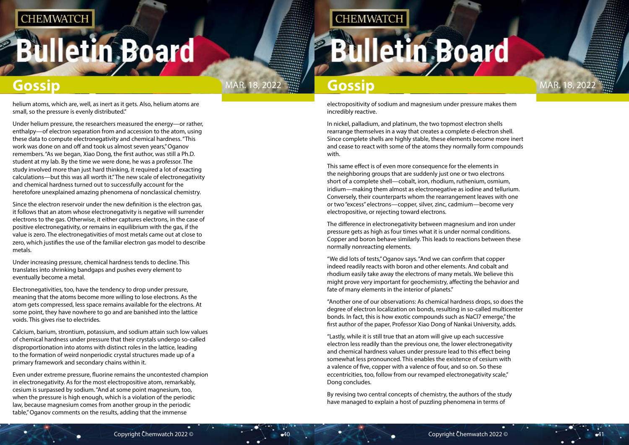# **Illetin Board**



electropositivity of sodium and magnesium under pressure makes them incredibly reactive.

In nickel, palladium, and platinum, the two topmost electron shells rearrange themselves in a way that creates a complete d-electron shell. Since complete shells are highly stable, these elements become more inert and cease to react with some of the atoms they normally form compounds with.

This same effect is of even more consequence for the elements in the neighboring groups that are suddenly just one or two electrons short of a complete shell—cobalt, iron, rhodium, ruthenium, osmium, iridium—making them almost as electronegative as iodine and tellurium. Conversely, their counterparts whom the rearrangement leaves with one or two "excess" electrons—copper, silver, zinc, cadmium—become very electropositive, or rejecting toward electrons.

The difference in electronegativity between magnesium and iron under pressure gets as high as four times what it is under normal conditions. Copper and boron behave similarly. This leads to reactions between these normally nonreacting elements.

"We did lots of tests," Oganov says. "And we can confirm that copper indeed readily reacts with boron and other elements. And cobalt and rhodium easily take away the electrons of many metals. We believe this might prove very important for geochemistry, affecting the behavior and fate of many elements in the interior of planets."

"Another one of our observations: As chemical hardness drops, so does the degree of electron localization on bonds, resulting in so-called multicenter bonds. In fact, this is how exotic compounds such as NaCl7 emerge," the first author of the paper, Professor Xiao Dong of Nankai University, adds.

"Lastly, while it is still true that an atom will give up each successive electron less readily than the previous one, the lower electronegativity and chemical hardness values under pressure lead to this effect being somewhat less pronounced. This enables the existence of cesium with a valence of five, copper with a valence of four, and so on. So these eccentricities, too, follow from our revamped electronegativity scale," Dong concludes.

By revising two central concepts of chemistry, the authors of the study have managed to explain a host of puzzling phenomena in terms of

helium atoms, which are, well, as inert as it gets. Also, helium atoms are small, so the pressure is evenly distributed."

Under helium pressure, the researchers measured the energy—or rather, enthalpy—of electron separation from and accession to the atom, using these data to compute electronegativity and chemical hardness. "This work was done on and off and took us almost seven years," Oganov remembers. "As we began, Xiao Dong, the first author, was still a Ph.D. student at my lab. By the time we were done, he was a professor. The study involved more than just hard thinking, it required a lot of exacting calculations—but this was all worth it." The new scale of electronegativity and chemical hardness turned out to successfully account for the heretofore unexplained amazing phenomena of nonclassical chemistry.

Since the electron reservoir under the new definition is the electron gas, it follows that an atom whose electronegativity is negative will surrender electrons to the gas. Otherwise, it either captures electrons, in the case of positive electronegativity, or remains in equilibrium with the gas, if the value is zero. The electronegativities of most metals came out at close to zero, which justifies the use of the familiar electron gas model to describe metals.

Under increasing pressure, chemical hardness tends to decline. This translates into shrinking bandgaps and pushes every element to eventually become a metal.

Electronegativities, too, have the tendency to drop under pressure, meaning that the atoms become more willing to lose electrons. As the atom gets compressed, less space remains available for the electrons. At some point, they have nowhere to go and are banished into the lattice voids. This gives rise to electrides.

Calcium, barium, strontium, potassium, and sodium attain such low values of chemical hardness under pressure that their crystals undergo so-called disproportionation into atoms with distinct roles in the lattice, leading to the formation of weird nonperiodic crystal structures made up of a primary framework and secondary chains within it.

Even under extreme pressure, fluorine remains the uncontested champion in electronegativity. As for the most electropositive atom, remarkably, cesium is surpassed by sodium. "And at some point magnesium, too, when the pressure is high enough, which is a violation of the periodic law, because magnesium comes from another group in the periodic table," Oganov comments on the results, adding that the immense

## **CHEMWATCH**

# **Iletin Board**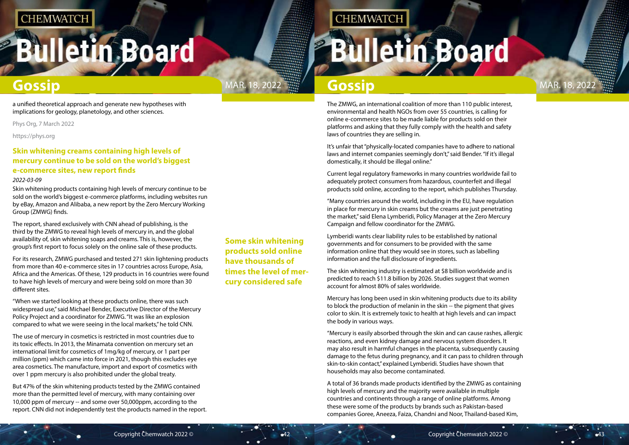# <span id="page-21-0"></span>**Illetin Board**



## **Some skin whitening products sold online have thousands of times the level of mercury considered safe**

## **CHEMWATCH**

# **Illetin Board**

## **Gossip Gossip**

The ZMWG, an international coalition of more than 110 public interest, environmental and health NGOs from over 55 countries, is calling for online e-commerce sites to be made liable for products sold on their platforms and asking that they fully comply with the health and safety laws of countries they are selling in.

It's unfair that "physically-located companies have to adhere to national laws and internet companies seemingly don't," said Bender. "If it's illegal domestically, it should be illegal online."

Current legal regulatory frameworks in many countries worldwide fail to adequately protect consumers from hazardous, counterfeit and illegal products sold online, according to the report, which publishes Thursday.

"Many countries around the world, including in the EU, have regulation in place for mercury in skin creams but the creams are just penetrating the market," said Elena Lymberidi, Policy Manager at the Zero Mercury Campaign and fellow coordinator for the ZMWG.

Lymberidi wants clear liability rules to be established by national governments and for consumers to be provided with the same information online that they would see in stores, such as labelling information and the full disclosure of ingredients.

The skin whitening industry is estimated at \$8 billion worldwide and is predicted to reach \$11.8 billion by 2026. Studies suggest that women account for almost 80% of sales worldwide.

Mercury has long been used in skin whitening products due to its ability to block the production of melanin in the skin -- the pigment that gives color to skin. It is extremely toxic to health at high levels and can impact the body in various ways.

"Mercury is easily absorbed through the skin and can cause rashes, allergic reactions, and even kidney damage and nervous system disorders. It may also result in harmful changes in the placenta, subsequently causing damage to the fetus during pregnancy, and it can pass to children through skin-to-skin contact," explained Lymberidi. Studies have shown that households may also become contaminated.

A total of 36 brands made products identified by the ZMWG as containing high levels of mercury and the majority were available in multiple countries and continents through a range of online platforms. Among these were some of the products by brands such as Pakistan-based companies Goree, Aneeza, Faiza, Chandni and Noor, Thailand-based Kim,

a unified theoretical approach and generate new hypotheses with implications for geology, planetology, and other sciences.

Phys Org, 7 March 2022

https://phys.org

## **Skin whitening creams containing high levels of mercury continue to be sold on the world's biggest e-commerce sites, new report finds**

### *2022-03-09*

Skin whitening products containing high levels of mercury continue to be sold on the world's biggest e-commerce platforms, including websites run by eBay, Amazon and Alibaba, a new report by the Zero Mercury Working Group (ZMWG) finds.

The report, shared exclusively with CNN ahead of publishing, is the third by the ZMWG to reveal high levels of mercury in, and the global availability of, skin whitening soaps and creams. This is, however, the group's first report to focus solely on the online sale of these products.

For its research, ZMWG purchased and tested 271 skin lightening products from more than 40 e-commerce sites in 17 countries across Europe, Asia, Africa and the Americas. Of these, 129 products in 16 countries were found to have high levels of mercury and were being sold on more than 30 different sites.

"When we started looking at these products online, there was such widespread use," said Michael Bender, Executive Director of the Mercury Policy Project and a coordinator for ZMWG. "It was like an explosion compared to what we were seeing in the local markets," he told CNN.

The use of mercury in cosmetics is restricted in most countries due to its toxic effects. In 2013, the Minamata convention on mercury set an international limit for cosmetics of 1mg/kg of mercury, or 1 part per million (ppm) which came into force in 2021, though this excludes eye area cosmetics. The manufacture, import and export of cosmetics with over 1 ppm mercury is also prohibited under the global treaty.

But 47% of the skin whitening products tested by the ZMWG contained more than the permitted level of mercury, with many containing over 10,000 ppm of mercury -- and some over 50,000ppm, according to the report. CNN did not independently test the products named in the report.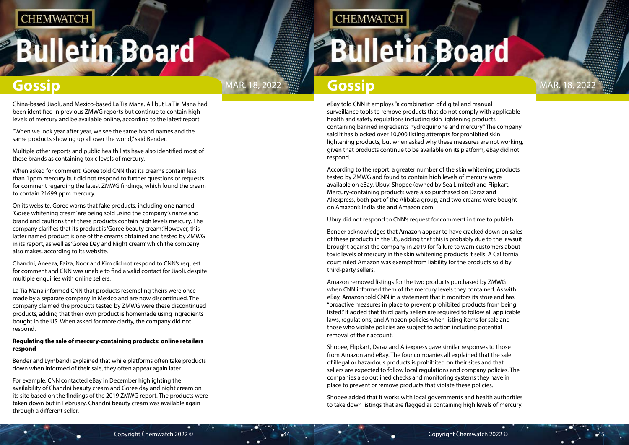# **Illetin Board**

**Gossip MAR. 18, 2022 <b>Gossip** MAR. 18, 2022 **Gossip** MAR. 18, 2022

**CHEMWATCH** 

eBay told CNN it employs "a combination of digital and manual surveillance tools to remove products that do not comply with applicable health and safety regulations including skin lightening products containing banned ingredients hydroquinone and mercury." The company said it has blocked over 10,000 listing attempts for prohibited skin lightening products, but when asked why these measures are not working, given that products continue to be available on its platform, eBay did not respond.

According to the report, a greater number of the skin whitening products tested by ZMWG and found to contain high levels of mercury were available on eBay, Ubuy, Shopee (owned by Sea Limited) and Flipkart. Mercury-containing products were also purchased on Daraz and Aliexpress, both part of the Alibaba group, and two creams were bought on Amazon's India site and Amazon.com.

Ubuy did not respond to CNN's request for comment in time to publish.

Bender acknowledges that Amazon appear to have cracked down on sales of these products in the US, adding that this is probably due to the lawsuit brought against the company in 2019 for failure to warn customers about toxic levels of mercury in the skin whitening products it sells. A California court ruled Amazon was exempt from liability for the products sold by third-party sellers.

Amazon removed listings for the two products purchased by ZMWG when CNN informed them of the mercury levels they contained. As with eBay, Amazon told CNN in a statement that it monitors its store and has "proactive measures in place to prevent prohibited products from being listed." It added that third party sellers are required to follow all applicable laws, regulations, and Amazon policies when listing items for sale and those who violate policies are subject to action including potential removal of their account.

Shopee, Flipkart, Daraz and Aliexpress gave similar responses to those from Amazon and eBay. The four companies all explained that the sale of illegal or hazardous products is prohibited on their sites and that sellers are expected to follow local regulations and company policies. The companies also outlined checks and monitoring systems they have in place to prevent or remove products that violate these policies.

Shopee added that it works with local governments and health authorities to take down listings that are flagged as containing high levels of mercury.

China-based Jiaoli, and Mexico-based La Tia Mana. All but La Tia Mana had been identified in previous ZMWG reports but continue to contain high levels of mercury and be available online, according to the latest report.

"When we look year after year, we see the same brand names and the same products showing up all over the world," said Bender.

Multiple other reports and public health lists have also identified most of these brands as containing toxic levels of mercury.

When asked for comment, Goree told CNN that its creams contain less than 1ppm mercury but did not respond to further questions or requests for comment regarding the latest ZMWG findings, which found the cream to contain 21699 ppm mercury.

On its website, Goree warns that fake products, including one named 'Goree whitening cream' are being sold using the company's name and brand and cautions that these products contain high levels mercury. The company clarifies that its product is 'Goree beauty cream.' However, this latter named product is one of the creams obtained and tested by ZMWG in its report, as well as 'Goree Day and Night cream' which the company also makes, according to its website.

Chandni, Aneeza, Faiza, Noor and Kim did not respond to CNN's request for comment and CNN was unable to find a valid contact for Jiaoli, despite multiple enquiries with online sellers.

La Tia Mana informed CNN that products resembling theirs were once made by a separate company in Mexico and are now discontinued. The company claimed the products tested by ZMWG were these discontinued products, adding that their own product is homemade using ingredients bought in the US. When asked for more clarity, the company did not respond.

### **Regulating the sale of mercury-containing products: online retailers respond**

Bender and Lymberidi explained that while platforms often take products down when informed of their sale, they often appear again later.

For example, CNN contacted eBay in December highlighting the availability of Chandni beauty cream and Goree day and night cream on its site based on the findings of the 2019 ZMWG report. The products were taken down but in February, Chandni beauty cream was available again through a different seller.

# **Iletin Board**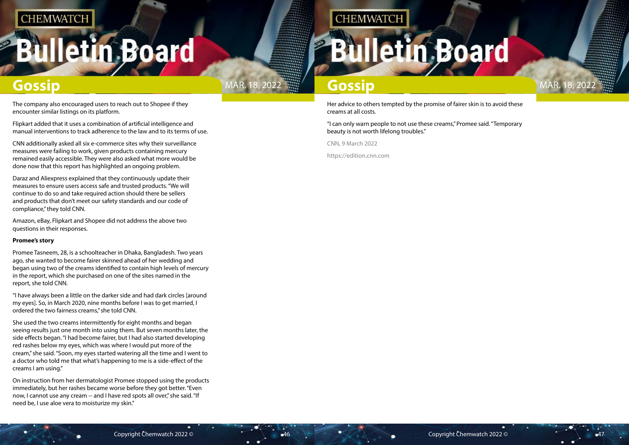# **lletin Board**





Her advice to others tempted by the promise of fairer skin is to avoid these creams at all costs.

"I can only warn people to not use these creams," Promee said. "Temporary beauty is not worth lifelong troubles."

CNN additionally asked all six e-commerce sites why their surveillance measures were failing to work, given products containing mercury remained easily accessible. They were also asked what more would be done now that this report has highlighted an ongoing problem.

CNN, 9 March 2022

https://edition.cnn.com

The company also encouraged users to reach out to Shopee if they encounter similar listings on its platform.

Flipkart added that it uses a combination of artificial intelligence and manual interventions to track adherence to the law and to its terms of use.

Daraz and Aliexpress explained that they continuously update their measures to ensure users access safe and trusted products. "We will continue to do so and take required action should there be sellers and products that don't meet our safety standards and our code of compliance," they told CNN.

Amazon, eBay, Flipkart and Shopee did not address the above two questions in their responses.

### **Promee's story**

Promee Tasneem, 28, is a schoolteacher in Dhaka, Bangladesh. Two years ago, she wanted to become fairer skinned ahead of her wedding and began using two of the creams identified to contain high levels of mercury in the report, which she purchased on one of the sites named in the report, she told CNN.

"I have always been a little on the darker side and had dark circles [around my eyes]. So, in March 2020, nine months before I was to get married, I ordered the two fairness creams," she told CNN.

She used the two creams intermittently for eight months and began seeing results just one month into using them. But seven months later, the side effects began. "I had become fairer, but I had also started developing red rashes below my eyes, which was where I would put more of the cream," she said. "Soon, my eyes started watering all the time and I went to a doctor who told me that what's happening to me is a side-effect of the creams I am using."

On instruction from her dermatologist Promee stopped using the products immediately, but her rashes became worse before they got better. "Even now, I cannot use any cream -- and I have red spots all over," she said. "If need be, I use aloe vera to moisturize my skin."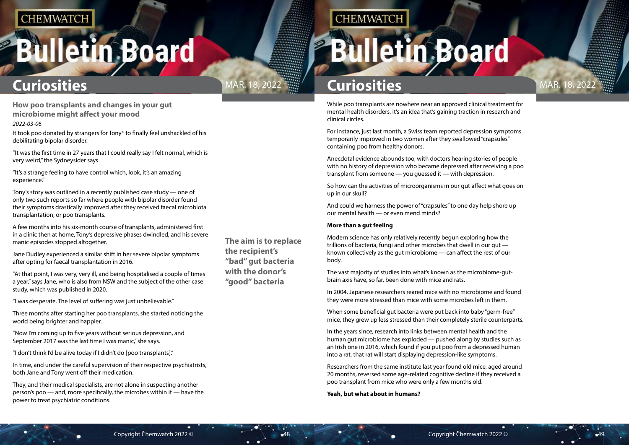# <span id="page-24-0"></span>**Illetin Board**



## **The aim is to replace the recipient's "bad" gut bacteria with the donor's "good" bacteria**

**CHEMWATCH** 

While poo transplants are nowhere near an approved clinical treatment for mental health disorders, it's an idea that's gaining traction in research and clinical circles.

For instance, just last month, a Swiss team reported depression symptoms temporarily improved in two women after they swallowed "crapsules" containing poo from healthy donors.

Anecdotal evidence abounds too, with doctors hearing stories of people with no history of depression who became depressed after receiving a poo transplant from someone — you guessed it — with depression.

So how can the activities of microorganisms in our gut affect what goes on up in our skull?

And could we harness the power of "crapsules" to one day help shore up our mental health — or even mend minds?

### **More than a gut feeling**

Modern science has only relatively recently begun exploring how the trillions of bacteria, fungi and other microbes that dwell in our gut known collectively as the gut microbiome — can affect the rest of our body.

The vast majority of studies into what's known as the microbiome-gutbrain axis have, so far, been done with mice and rats.

In 2004, Japanese researchers reared mice with no microbiome and found they were more stressed than mice with some microbes left in them.

When some beneficial gut bacteria were put back into baby "germ-free" mice, they grew up less stressed than their completely sterile counterparts.

"Now I'm coming up to five years without serious depression, and September 2017 was the last time I was manic," she says.

In the years since, research into links between mental health and the human gut microbiome has exploded — pushed along by studies such as an Irish one in 2016, which found if you put poo from a depressed human into a rat, that rat will start displaying depression-like symptoms.

Researchers from the same institute last year found old mice, aged around 20 months, reversed some age-related cognitive decline if they received a poo transplant from mice who were only a few months old.

### **Yeah, but what about in humans?**

**How poo transplants and changes in your gut microbiome might affect your mood**

*2022-03-06*

It took poo donated by strangers for Tony\* to finally feel unshackled of his debilitating bipolar disorder.

"It was the first time in 27 years that I could really say I felt normal, which is very weird," the Sydneysider says.

"It's a strange feeling to have control which, look, it's an amazing experience."

Tony's story was outlined in a recently published case study — one of only two such reports so far where people with bipolar disorder found their symptoms drastically improved after they received faecal microbiota transplantation, or poo transplants.

A few months into his six-month course of transplants, administered first in a clinic then at home, Tony's depressive phases dwindled, and his severe manic episodes stopped altogether.

Jane Dudley experienced a similar shift in her severe bipolar symptoms after opting for faecal transplantation in 2016.

"At that point, I was very, very ill, and being hospitalised a couple of times a year," says Jane, who is also from NSW and the subject of the other case study, which was published in 2020.

"I was desperate. The level of suffering was just unbelievable."

Three months after starting her poo transplants, she started noticing the world being brighter and happier.

"I don't think I'd be alive today if I didn't do [poo transplants]."

In time, and under the careful supervision of their respective psychiatrists, both Jane and Tony went off their medication.

They, and their medical specialists, are not alone in suspecting another person's poo — and, more specifically, the microbes within it — have the power to treat psychiatric conditions.

## **Curiosities**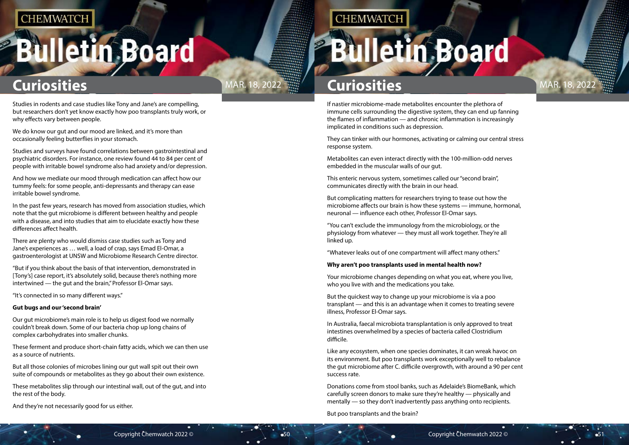# **Illetin Board**



If nastier microbiome-made metabolites encounter the plethora of immune cells surrounding the digestive system, they can end up fanning the flames of inflammation — and chronic inflammation is increasingly implicated in conditions such as depression.

They can tinker with our hormones, activating or calming our central stress response system.

Metabolites can even interact directly with the 100-million-odd nerves embedded in the muscular walls of our gut.

This enteric nervous system, sometimes called our "second brain", communicates directly with the brain in our head.

But complicating matters for researchers trying to tease out how the microbiome affects our brain is how these systems — immune, hormonal, neuronal — influence each other, Professor El-Omar says.

"You can't exclude the immunology from the microbiology, or the physiology from whatever — they must all work together. They're all linked up.

"Whatever leaks out of one compartment will affect many others."

### **Why aren't poo transplants used in mental health now?**

Your microbiome changes depending on what you eat, where you live, who you live with and the medications you take.

But the quickest way to change up your microbiome is via a poo transplant — and this is an advantage when it comes to treating severe illness, Professor El-Omar says.

In Australia, faecal microbiota transplantation is only approved to treat intestines overwhelmed by a species of bacteria called Clostridium difficile.

Like any ecosystem, when one species dominates, it can wreak havoc on its environment. But poo transplants work exceptionally well to rebalance the gut microbiome after C. difficile overgrowth, with around a 90 per cent success rate.

Donations come from stool banks, such as Adelaide's BiomeBank, which carefully screen donors to make sure they're healthy — physically and mentally — so they don't inadvertently pass anything onto recipients.

But poo transplants and the brain?

Studies in rodents and case studies like Tony and Jane's are compelling, but researchers don't yet know exactly how poo transplants truly work, or why effects vary between people.

We do know our gut and our mood are linked, and it's more than occasionally feeling butterflies in your stomach.

Studies and surveys have found correlations between gastrointestinal and psychiatric disorders. For instance, one review found 44 to 84 per cent of people with irritable bowel syndrome also had anxiety and/or depression.

And how we mediate our mood through medication can affect how our tummy feels: for some people, anti-depressants and therapy can ease irritable bowel syndrome.

In the past few years, research has moved from association studies, which note that the gut microbiome is different between healthy and people with a disease, and into studies that aim to elucidate exactly how these differences affect health.

There are plenty who would dismiss case studies such as Tony and Jane's experiences as … well, a load of crap, says Emad El-Omar, a gastroenterologist at UNSW and Microbiome Research Centre director.

"But if you think about the basis of that intervention, demonstrated in [Tony's] case report, it's absolutely solid, because there's nothing more intertwined — the gut and the brain," Professor El-Omar says.

"It's connected in so many different ways."

### **Gut bugs and our 'second brain'**

Our gut microbiome's main role is to help us digest food we normally couldn't break down. Some of our bacteria chop up long chains of complex carbohydrates into smaller chunks.

These ferment and produce short-chain fatty acids, which we can then use as a source of nutrients.

But all those colonies of microbes lining our gut wall spit out their own suite of compounds or metabolites as they go about their own existence.

These metabolites slip through our intestinal wall, out of the gut, and into the rest of the body.

And they're not necessarily good for us either.

## **CHEMWATCH**

# **Iletin Board**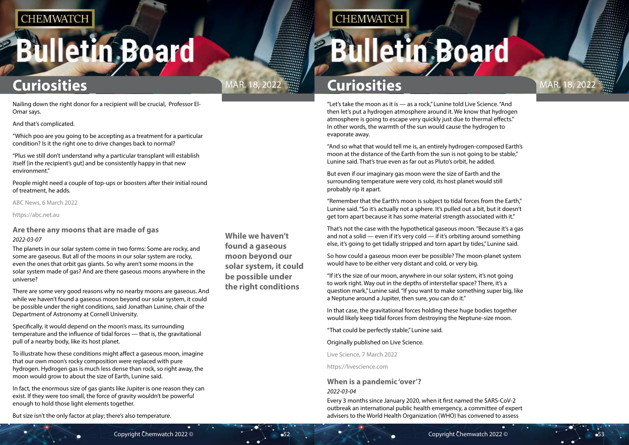# <span id="page-26-0"></span>**Bulletin Board**

**While we haven't found a gaseous moon beyond our solar system, it could be possible under the right conditions**

## MAR. 18, 2022  $\frac{m}{2}$  Curiosities MAR. 18, 2022

**CHEMWATCH** 

## **Curiosities Curiosities**

"Let's take the moon as it is — as a rock," Lunine told Live Science. "And then let's put a hydrogen atmosphere around it. We know that hydrogen atmosphere is going to escape very quickly just due to thermal effects." In other words, the warmth of the sun would cause the hydrogen to evaporate away.

"And so what that would tell me is, an entirely hydrogen-composed Earth's moon at the distance of the Earth from the sun is not going to be stable," Lunine said. That's true even as far out as Pluto's orbit, he added.

But even if our imaginary gas moon were the size of Earth and the surrounding temperature were very cold, its host planet would still probably rip it apart.

"Remember that the Earth's moon is subject to tidal forces from the Earth," Lunine said. "So it's actually not a sphere. It's pulled out a bit, but it doesn't get torn apart because it has some material strength associated with it."

That's not the case with the hypothetical gaseous moon. "Because it's a gas and not a solid — even if it's very cold — if it's orbiting around something else, it's going to get tidally stripped and torn apart by tides," Lunine said.

So how could a gaseous moon ever be possible? The moon-planet system would have to be either very distant and cold, or very big.

"If it's the size of our moon, anywhere in our solar system, it's not going to work right. Way out in the depths of interstellar space? There, it's a question mark," Lunine said. "If you want to make something super big, like a Neptune around a Jupiter, then sure, you can do it."

In that case, the gravitational forces holding these huge bodies together would likely keep tidal forces from destroying the Neptune-size moon.

"That could be perfectly stable," Lunine said.

Originally published on Live Science.

Live Science, 7 March 2022

https://livescience.com

## **When is a pandemic 'over'?** *2022-03-04*

Every 3 months since January 2020, when it first named the SARS-CoV-2 outbreak an international public health emergency, a committee of expert advisers to the World Health Organization (WHO) has convened to assess

# **Illetin Board**

Nailing down the right donor for a recipient will be crucial, Professor El-Omar says.

And that's complicated.

"Which poo are you going to be accepting as a treatment for a particular condition? Is it the right one to drive changes back to normal?

"Plus we still don't understand why a particular transplant will establish itself [in the recipient's gut] and be consistently happy in that new environment."

People might need a couple of top-ups or boosters after their initial round of treatment, he adds.

ABC News, 6 March 2022

https://abc.net.au

## **Are there any moons that are made of gas**

### *2022-03-07*

The planets in our solar system come in two forms: Some are rocky, and some are gaseous. But all of the moons in our solar system are rocky, even the ones that orbit gas giants. So why aren't some moons in the solar system made of gas? And are there gaseous moons anywhere in the universe?

There are some very good reasons why no nearby moons are gaseous. And while we haven't found a gaseous moon beyond our solar system, it could be possible under the right conditions, said Jonathan Lunine, chair of the Department of Astronomy at Cornell University.

Specifically, it would depend on the moon's mass, its surrounding temperature and the influence of tidal forces — that is, the gravitational pull of a nearby body, like its host planet.

To illustrate how these conditions might affect a gaseous moon, imagine that our own moon's rocky composition were replaced with pure hydrogen. Hydrogen gas is much less dense than rock, so right away, the moon would grow to about the size of Earth, Lunine said.

In fact, the enormous size of gas giants like Jupiter is one reason they can exist. If they were too small, the force of gravity wouldn't be powerful enough to hold those light elements together.

But size isn't the only factor at play; there's also temperature.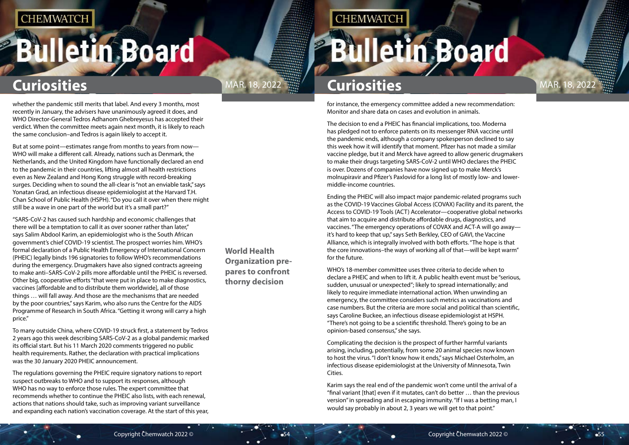# **Bulletin Board**



**World Health Organization prepares to confront thorny decision**

**CHEMWATCH** 

## **Curiosities Curiosities**

for instance, the emergency committee added a new recommendation: Monitor and share data on cases and evolution in animals.

The decision to end a PHEIC has financial implications, too. Moderna has pledged not to enforce patents on its messenger RNA vaccine until the pandemic ends, although a company spokesperson declined to say this week how it will identify that moment. Pfizer has not made a similar vaccine pledge, but it and Merck have agreed to allow generic drugmakers to make their drugs targeting SARS-CoV-2 until WHO declares the PHEIC is over. Dozens of companies have now signed up to make Merck's molnupiravir and Pfizer's Paxlovid for a long list of mostly low- and lowermiddle-income countries.

Ending the PHEIC will also impact major pandemic-related programs such as the COVID-19 Vaccines Global Access (COVAX) Facility and its parent, the Access to COVID-19 Tools (ACT) Accelerator—cooperative global networks that aim to acquire and distribute affordable drugs, diagnostics, and vaccines. "The emergency operations of COVAX and ACT-A will go away it's hard to keep that up," says Seth Berkley, CEO of GAVI, the Vaccine Alliance, which is integrally involved with both efforts. "The hope is that the core innovations–the ways of working all of that—will be kept warm" for the future.

WHO's 18-member committee uses three criteria to decide when to declare a PHEIC and when to lift it. A public health event must be "serious, sudden, unusual or unexpected"; likely to spread internationally; and likely to require immediate international action. When unwinding an emergency, the committee considers such metrics as vaccinations and case numbers. But the criteria are more social and political than scientific, says Caroline Buckee, an infectious disease epidemiologist at HSPH. "There's not going to be a scientific threshold. There's going to be an opinion-based consensus," she says.

Complicating the decision is the prospect of further harmful variants arising, including, potentially, from some 20 animal species now known to host the virus. "I don't know how it ends," says Michael Osterholm, an infectious disease epidemiologist at the University of Minnesota, Twin Cities.

Karim says the real end of the pandemic won't come until the arrival of a "final variant [that] even if it mutates, can't do better … than the previous version" in spreading and in escaping immunity. "If I was a betting man, I would say probably in about 2, 3 years we will get to that point."

whether the pandemic still merits that label. And every 3 months, most recently in January, the advisers have unanimously agreed it does, and WHO Director-General Tedros Adhanom Ghebreyesus has accepted their verdict. When the committee meets again next month, it is likely to reach the same conclusion–and Tedros is again likely to accept it.

But at some point—estimates range from months to years from now— WHO will make a different call. Already, nations such as Denmark, the Netherlands, and the United Kingdom have functionally declared an end to the pandemic in their countries, lifting almost all health restrictions even as New Zealand and Hong Kong struggle with record-breaking surges. Deciding when to sound the all-clear is "not an enviable task," says Yonatan Grad, an infectious disease epidemiologist at the Harvard T.H. Chan School of Public Health (HSPH). "Do you call it over when there might still be a wave in one part of the world but it's a small part?"

"SARS-CoV-2 has caused such hardship and economic challenges that there will be a temptation to call it as over sooner rather than later," says Salim Abdool Karim, an epidemiologist who is the South African government's chief COVID-19 scientist. The prospect worries him. WHO's formal declaration of a Public Health Emergency of International Concern (PHEIC) legally binds 196 signatories to follow WHO's recommendations during the emergency. Drugmakers have also signed contracts agreeing to make anti–SARS-CoV-2 pills more affordable until the PHEIC is reversed. Other big, cooperative efforts "that were put in place to make diagnostics, vaccines [affordable and to distribute them worldwide], all of those things … will fall away. And those are the mechanisms that are needed by the poor countries," says Karim, who also runs the Centre for the AIDS Programme of Research in South Africa. "Getting it wrong will carry a high price."

To many outside China, where COVID-19 struck first, a statement by Tedros 2 years ago this week describing SARS-CoV-2 as a global pandemic marked its official start. But his 11 March 2020 comments triggered no public health requirements. Rather, the declaration with practical implications was the 30 January 2020 PHEIC announcement.

The regulations governing the PHEIC require signatory nations to report suspect outbreaks to WHO and to support its responses, although WHO has no way to enforce those rules. The expert committee that recommends whether to continue the PHEIC also lists, with each renewal, actions that nations should take, such as improving variant surveillance and expanding each nation's vaccination coverage. At the start of this year,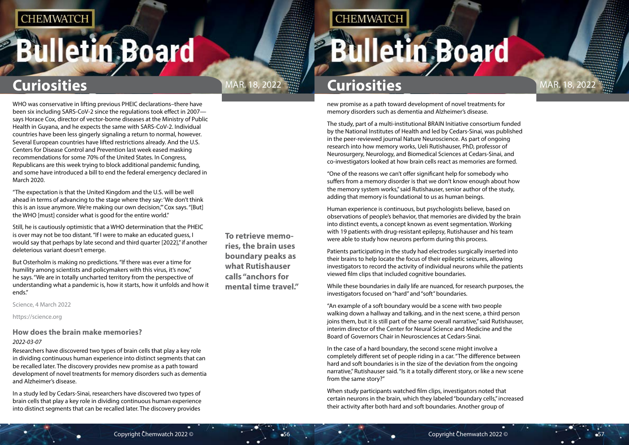# <span id="page-28-0"></span>**Bulletin Board**

## **To retrieve memories, the brain uses boundary peaks as what Rutishauser calls "anchors for mental time travel."**

## **CHEMWATCH**

# **Illetin Board**

MAR. 18, 2022  $\frac{1}{2}$  **Curiosities MAR. 18, 2022** 

## **Curiosities Curiosities**

new promise as a path toward development of novel treatments for memory disorders such as dementia and Alzheimer's disease.

The study, part of a multi-institutional BRAIN Initiative consortium funded by the National Institutes of Health and led by Cedars-Sinai, was published in the peer-reviewed journal Nature Neuroscience. As part of ongoing research into how memory works, Ueli Rutishauser, PhD, professor of Neurosurgery, Neurology, and Biomedical Sciences at Cedars-Sinai, and co-investigators looked at how brain cells react as memories are formed.

"One of the reasons we can't offer significant help for somebody who suffers from a memory disorder is that we don't know enough about how the memory system works," said Rutishauser, senior author of the study, adding that memory is foundational to us as human beings.

Human experience is continuous, but psychologists believe, based on observations of people's behavior, that memories are divided by the brain into distinct events, a concept known as event segmentation. Working with 19 patients with drug-resistant epilepsy, Rutishauser and his team were able to study how neurons perform during this process.

Patients participating in the study had electrodes surgically inserted into their brains to help locate the focus of their epileptic seizures, allowing investigators to record the activity of individual neurons while the patients viewed film clips that included cognitive boundaries.

While these boundaries in daily life are nuanced, for research purposes, the investigators focused on "hard" and "soft" boundaries.

"An example of a soft boundary would be a scene with two people walking down a hallway and talking, and in the next scene, a third person joins them, but it is still part of the same overall narrative," said Rutishauser, interim director of the Center for Neural Science and Medicine and the Board of Governors Chair in Neurosciences at Cedars-Sinai.

In the case of a hard boundary, the second scene might involve a completely different set of people riding in a car. "The difference between hard and soft boundaries is in the size of the deviation from the ongoing narrative," Rutishauser said. "Is it a totally different story, or like a new scene from the same story?"

When study participants watched film clips, investigators noted that certain neurons in the brain, which they labeled "boundary cells," increased their activity after both hard and soft boundaries. Another group of

WHO was conservative in lifting previous PHEIC declarations–there have been six including SARS-CoV-2 since the regulations took effect in 2007 says Horace Cox, director of vector-borne diseases at the Ministry of Public Health in Guyana, and he expects the same with SARS-CoV-2. Individual countries have been less gingerly signaling a return to normal, however. Several European countries have lifted restrictions already. And the U.S. Centers for Disease Control and Prevention last week eased masking recommendations for some 70% of the United States. In Congress, Republicans are this week trying to block additional pandemic funding, and some have introduced a bill to end the federal emergency declared in March 2020.

"The expectation is that the United Kingdom and the U.S. will be well ahead in terms of advancing to the stage where they say: 'We don't think this is an issue anymore. We're making our own decision,'" Cox says. "[But] the WHO [must] consider what is good for the entire world."

Still, he is cautiously optimistic that a WHO determination that the PHEIC is over may not be too distant. "If I were to make an educated guess, I would say that perhaps by late second and third quarter [2022]," if another deleterious variant doesn't emerge.

But Osterholm is making no predictions. "If there was ever a time for humility among scientists and policymakers with this virus, it's now," he says. "We are in totally uncharted territory from the perspective of understanding what a pandemic is, how it starts, how it unfolds and how it ends."

Science, 4 March 2022

https://science.org

## **How does the brain make memories?** *2022-03-07*

Researchers have discovered two types of brain cells that play a key role in dividing continuous human experience into distinct segments that can be recalled later. The discovery provides new promise as a path toward development of novel treatments for memory disorders such as dementia and Alzheimer's disease.

In a study led by Cedars-Sinai, researchers have discovered two types of brain cells that play a key role in dividing continuous human experience into distinct segments that can be recalled later. The discovery provides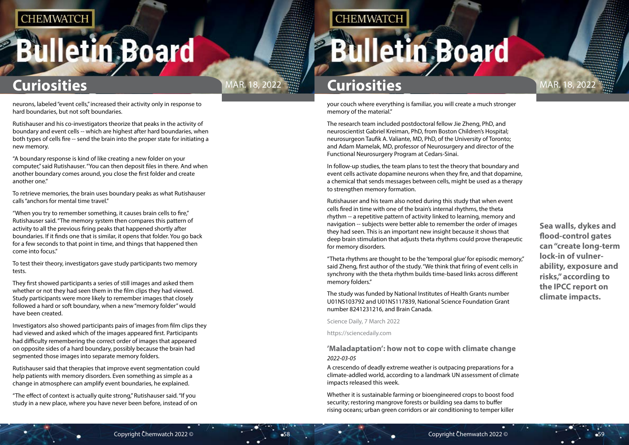# <span id="page-29-0"></span>**Bulletin Board**



**Sea walls, dykes and flood-control gates can "create long-term lock-in of vulnerability, exposure and risks," according to the IPCC report on climate impacts.**

## **Curiosities Curiosities**

your couch where everything is familiar, you will create a much stronger memory of the material."

The research team included postdoctoral fellow Jie Zheng, PhD, and neuroscientist Gabriel Kreiman, PhD, from Boston Children's Hospital; neurosurgeon Taufik A. Valiante, MD, PhD, of the University of Toronto; and Adam Mamelak, MD, professor of Neurosurgery and director of the Functional Neurosurgery Program at Cedars-Sinai.

In follow-up studies, the team plans to test the theory that boundary and event cells activate dopamine neurons when they fire, and that dopamine, a chemical that sends messages between cells, might be used as a therapy to strengthen memory formation.

Rutishauser and his team also noted during this study that when event cells fired in time with one of the brain's internal rhythms, the theta rhythm -- a repetitive pattern of activity linked to learning, memory and navigation -- subjects were better able to remember the order of images they had seen. This is an important new insight because it shows that deep brain stimulation that adjusts theta rhythms could prove therapeutic for memory disorders.

"Theta rhythms are thought to be the 'temporal glue' for episodic memory," said Zheng, first author of the study. "We think that firing of event cells in synchrony with the theta rhythm builds time-based links across different memory folders."

The study was funded by National Institutes of Health Grants number U01NS103792 and U01NS117839, National Science Foundation Grant number 8241231216, and Brain Canada.

Science Daily, 7 March 2022

https://sciencedaily.com

## **'Maladaptation': how not to cope with climate change** *2022-03-05*

A crescendo of deadly extreme weather is outpacing preparations for a climate-addled world, according to a landmark UN assessment of climate impacts released this week.

Whether it is sustainable farming or bioengineered crops to boost food security; restoring mangrove forests or building sea dams to buffer rising oceans; urban green corridors or air conditioning to temper killer

neurons, labeled "event cells," increased their activity only in response to hard boundaries, but not soft boundaries.

Rutishauser and his co-investigators theorize that peaks in the activity of boundary and event cells -- which are highest after hard boundaries, when both types of cells fire -- send the brain into the proper state for initiating a new memory.

"A boundary response is kind of like creating a new folder on your computer," said Rutishauser. "You can then deposit files in there. And when another boundary comes around, you close the first folder and create another one."

To retrieve memories, the brain uses boundary peaks as what Rutishauser calls "anchors for mental time travel."

"When you try to remember something, it causes brain cells to fire," Rutishauser said. "The memory system then compares this pattern of activity to all the previous firing peaks that happened shortly after boundaries. If it finds one that is similar, it opens that folder. You go back for a few seconds to that point in time, and things that happened then come into focus."

To test their theory, investigators gave study participants two memory tests.

They first showed participants a series of still images and asked them whether or not they had seen them in the film clips they had viewed. Study participants were more likely to remember images that closely followed a hard or soft boundary, when a new "memory folder" would have been created.

Investigators also showed participants pairs of images from film clips they had viewed and asked which of the images appeared first. Participants had difficulty remembering the correct order of images that appeared on opposite sides of a hard boundary, possibly because the brain had segmented those images into separate memory folders.

Rutishauser said that therapies that improve event segmentation could help patients with memory disorders. Even something as simple as a change in atmosphere can amplify event boundaries, he explained.

"The effect of context is actually quite strong," Rutishauser said. "If you study in a new place, where you have never been before, instead of on

## **CHEMWATCH**

# **Illetin Board**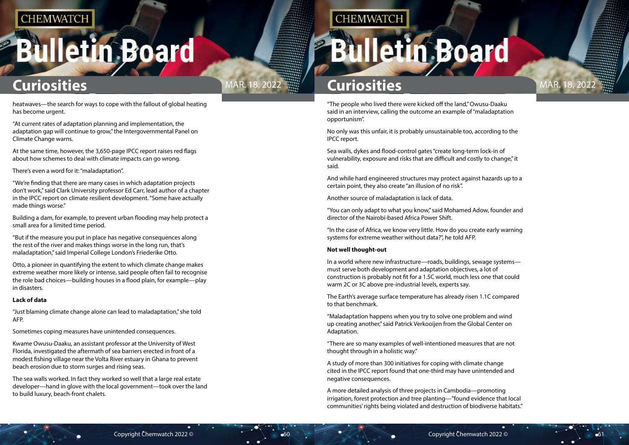# **Illetin Board**



"The people who lived there were kicked off the land," Owusu-Daaku said in an interview, calling the outcome an example of "maladaptation opportunism".

No only was this unfair, it is probably unsustainable too, according to the IPCC report.

Sea walls, dykes and flood-control gates "create long-term lock-in of vulnerability, exposure and risks that are difficult and costly to change," it said.

And while hard engineered structures may protect against hazards up to a certain point, they also create "an illusion of no risk".

Another source of maladaptation is lack of data.

"You can only adapt to what you know," said Mohamed Adow, founder and director of the Nairobi-based Africa Power Shift.

"In the case of Africa, we know very little. How do you create early warning systems for extreme weather without data?", he told AFP.

### **Not well thought-out**

In a world where new infrastructure—roads, buildings, sewage systems must serve both development and adaptation objectives, a lot of construction is probably not fit for a 1.5C world, much less one that could warm 2C or 3C above pre-industrial levels, experts say.

The Earth's average surface temperature has already risen 1.1C compared to that benchmark.

"Maladaptation happens when you try to solve one problem and wind up creating another," said Patrick Verkooijen from the Global Center on Adaptation.

"There are so many examples of well-intentioned measures that are not thought through in a holistic way."

A study of more than 300 initiatives for coping with climate change cited in the IPCC report found that one-third may have unintended and negative consequences.

A more detailed analysis of three projects in Cambodia—promoting irrigation, forest protection and tree planting—"found evidence that local communities' rights being violated and destruction of biodiverse habitats."

heatwaves—the search for ways to cope with the fallout of global heating has become urgent.

"At current rates of adaptation planning and implementation, the adaptation gap will continue to grow," the Intergovernmental Panel on Climate Change warns.

At the same time, however, the 3,650-page IPCC report raises red flags about how schemes to deal with climate impacts can go wrong.

There's even a word for it: "maladaptation".

"We're finding that there are many cases in which adaptation projects don't work," said Clark University professor Ed Carr, lead author of a chapter in the IPCC report on climate resilient development. "Some have actually made things worse."

Building a dam, for example, to prevent urban flooding may help protect a small area for a limited time period.

"But if the measure you put in place has negative consequences along the rest of the river and makes things worse in the long run, that's maladaptation," said Imperial College London's Friederike Otto.

Otto, a pioneer in quantifying the extent to which climate change makes extreme weather more likely or intense, said people often fail to recognise the role bad choices—building houses in a flood plain, for example—play in disasters.

### **Lack of data**

"Just blaming climate change alone can lead to maladaptation," she told AFP.

Sometimes coping measures have unintended consequences.

Kwame Owusu-Daaku, an assistant professor at the University of West Florida, investigated the aftermath of sea barriers erected in front of a modest fishing village near the Volta River estuary in Ghana to prevent beach erosion due to storm surges and rising seas.

The sea walls worked. In fact they worked so well that a large real estate developer—hand in glove with the local government—took over the land to build luxury, beach-front chalets.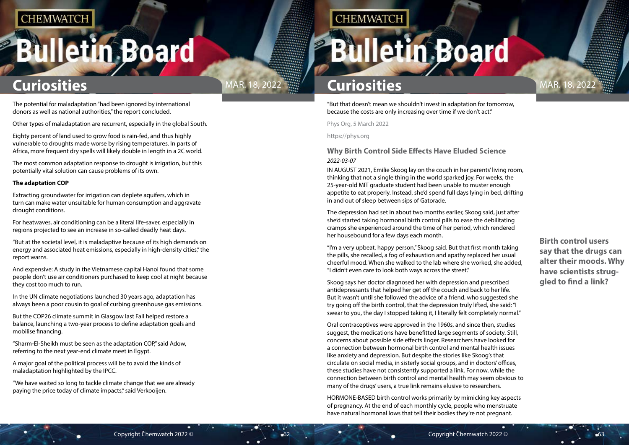# <span id="page-31-0"></span>**Bulletin Board**



**Birth control users say that the drugs can alter their moods. Why have scientists struggled to find a link?**

## **Curiosities Curiosities**

"But that doesn't mean we shouldn't invest in adaptation for tomorrow, because the costs are only increasing over time if we don't act."

Phys Org, 5 March 2022

https://phys.org

## **Why Birth Control Side Effects Have Eluded Science** *2022-03-07*

IN AUGUST 2021, Emilie Skoog lay on the couch in her parents' living room, thinking that not a single thing in the world sparked joy. For weeks, the 25-year-old MIT graduate student had been unable to muster enough appetite to eat properly. Instead, she'd spend full days lying in bed, drifting in and out of sleep between sips of Gatorade.

Skoog says her doctor diagnosed her with depression and prescribed antidepressants that helped her get off the couch and back to her life. But it wasn't until she followed the advice of a friend, who suggested she try going off the birth control, that the depression truly lifted, she said: "I swear to you, the day I stopped taking it, I literally felt completely normal."

The depression had set in about two months earlier, Skoog said, just after she'd started taking hormonal birth control pills to ease the debilitating cramps she experienced around the time of her period, which rendered her housebound for a few days each month.

"I'm a very upbeat, happy person," Skoog said. But that first month taking the pills, she recalled, a fog of exhaustion and apathy replaced her usual cheerful mood. When she walked to the lab where she worked, she added, "I didn't even care to look both ways across the street."

Oral contraceptives were approved in the 1960s, and since then, studies suggest, the medications have benefitted large segments of society. Still, concerns about possible side effects linger. Researchers have looked for a connection between hormonal birth control and mental health issues like anxiety and depression. But despite the stories like Skoog's that circulate on social media, in sisterly social groups, and in doctors' offices, these studies have not consistently supported a link. For now, while the connection between birth control and mental health may seem obvious to many of the drugs' users, a true link remains elusive to researchers.

HORMONE-BASED birth control works primarily by mimicking key aspects of pregnancy. At the end of each monthly cycle, people who menstruate have natural hormonal lows that tell their bodies they're not pregnant.

The potential for maladaptation "had been ignored by international donors as well as national authorities," the report concluded.

Other types of maladaptation are recurrent, especially in the global South.

Eighty percent of land used to grow food is rain-fed, and thus highly vulnerable to droughts made worse by rising temperatures. In parts of Africa, more frequent dry spells will likely double in length in a 2C world.

The most common adaptation response to drought is irrigation, but this potentially vital solution can cause problems of its own.

### **The adaptation COP**

Extracting groundwater for irrigation can deplete aquifers, which in turn can make water unsuitable for human consumption and aggravate drought conditions.

For heatwaves, air conditioning can be a literal life-saver, especially in regions projected to see an increase in so-called deadly heat days.

"But at the societal level, it is maladaptive because of its high demands on energy and associated heat emissions, especially in high-density cities," the report warns.

And expensive: A study in the Vietnamese capital Hanoi found that some people don't use air conditioners purchased to keep cool at night because they cost too much to run.

In the UN climate negotiations launched 30 years ago, adaptation has always been a poor cousin to goal of curbing greenhouse gas emissions.

But the COP26 climate summit in Glasgow last Fall helped restore a balance, launching a two-year process to define adaptation goals and mobilise financing.

"Sharm-El-Sheikh must be seen as the adaptation COP," said Adow, referring to the next year-end climate meet in Egypt.

A major goal of the political process will be to avoid the kinds of maladaptation highlighted by the IPCC.

"We have waited so long to tackle climate change that we are already paying the price today of climate impacts," said Verkooijen.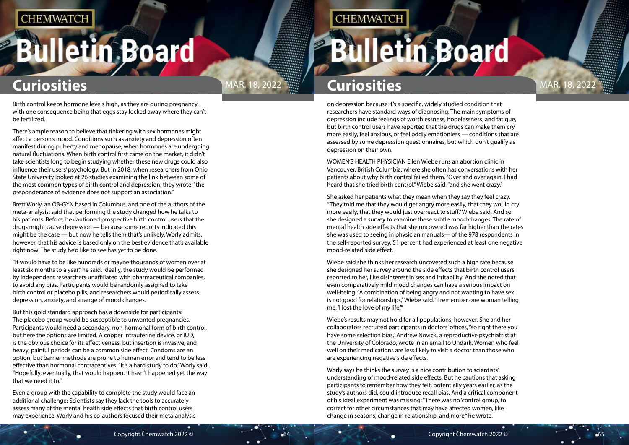# **Bulletin Board**

## **Curiosities** MAR. 18, 2022 **Curiosities** MAR. 18, 2022

on depression because it's a specific, widely studied condition that researchers have standard ways of diagnosing. The main symptoms of depression include feelings of worthlessness, hopelessness, and fatigue, but birth control users have reported that the drugs can make them cry more easily, feel anxious, or feel oddly emotionless — conditions that are assessed by some depression questionnaires, but which don't qualify as depression on their own.

WOMEN'S HEALTH PHYSICIAN Ellen Wiebe runs an abortion clinic in Vancouver, British Columbia, where she often has conversations with her patients about why birth control failed them. "Over and over again, I had heard that she tried birth control," Wiebe said, "and she went crazy."

She asked her patients what they mean when they say they feel crazy. "They told me that they would get angry more easily, that they would cry more easily, that they would just overreact to stuff," Wiebe said. And so she designed a survey to examine these subtle mood changes. The rate of mental health side effects that she uncovered was far higher than the rates she was used to seeing in physician manuals— of the 978 respondents in the self-reported survey, 51 percent had experienced at least one negative mood-related side effect.

Wiebe said she thinks her research uncovered such a high rate because she designed her survey around the side effects that birth control users reported to her, like disinterest in sex and irritability. And she noted that even comparatively mild mood changes can have a serious impact on well-being: "A combination of being angry and not wanting to have sex is not good for relationships," Wiebe said. "I remember one woman telling me, 'I lost the love of my life.'"

Wiebe's results may not hold for all populations, however. She and her collaborators recruited participants in doctors' offices, "so right there you have some selection bias," Andrew Novick, a reproductive psychiatrist at the University of Colorado, wrote in an email to Undark. Women who feel well on their medications are less likely to visit a doctor than those who are experiencing negative side effects.

Worly says he thinks the survey is a nice contribution to scientists' understanding of mood-related side effects. But he cautions that asking participants to remember how they felt, potentially years earlier, as the study's authors did, could introduce recall bias. And a critical component of his ideal experiment was missing: "There was no 'control group,' to correct for other circumstances that may have affected women, like change in seasons, change in relationship, and more," he wrote.

Birth control keeps hormone levels high, as they are during pregnancy, with one consequence being that eggs stay locked away where they can't be fertilized.

There's ample reason to believe that tinkering with sex hormones might affect a person's mood. Conditions such as anxiety and depression often manifest during puberty and menopause, when hormones are undergoing natural fluctuations. When birth control first came on the market, it didn't take scientists long to begin studying whether these new drugs could also influence their users' psychology. But in 2018, when researchers from Ohio State University looked at 26 studies examining the link between some of the most common types of birth control and depression, they wrote, "the preponderance of evidence does not support an association."

Brett Worly, an OB-GYN based in Columbus, and one of the authors of the meta-analysis, said that performing the study changed how he talks to his patients. Before, he cautioned prospective birth control users that the drugs might cause depression — because some reports indicated this might be the case — but now he tells them that's unlikely. Worly admits, however, that his advice is based only on the best evidence that's available right now. The study he'd like to see has yet to be done.

"It would have to be like hundreds or maybe thousands of women over at least six months to a year," he said. Ideally, the study would be performed by independent researchers unaffiliated with pharmaceutical companies, to avoid any bias. Participants would be randomly assigned to take birth control or placebo pills, and researchers would periodically assess depression, anxiety, and a range of mood changes.

But this gold standard approach has a downside for participants: The placebo group would be susceptible to unwanted pregnancies. Participants would need a secondary, non-hormonal form of birth control, but here the options are limited. A copper intrauterine device, or IUD, is the obvious choice for its effectiveness, but insertion is invasive, and heavy, painful periods can be a common side effect. Condoms are an option, but barrier methods are prone to human error and tend to be less effective than hormonal contraceptives. "It's a hard study to do," Worly said. "Hopefully, eventually, that would happen. It hasn't happened yet the way that we need it to."

Even a group with the capability to complete the study would face an additional challenge: Scientists say they lack the tools to accurately assess many of the mental health side effects that birth control users may experience. Worly and his co-authors focused their meta-analysis

## **CHEMWATCH**

# **Bulletin Board**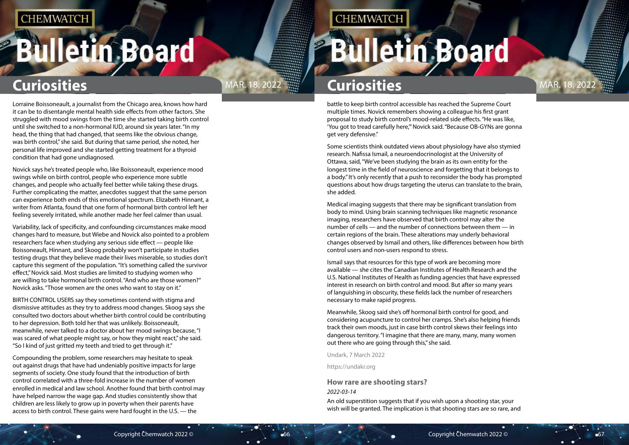# <span id="page-33-0"></span>**Bulletin Board**

## **Curiosities** MAR. 18, 2022 **Curiosities** MAR. 18, 2022

battle to keep birth control accessible has reached the Supreme Court multiple times. Novick remembers showing a colleague his first grant proposal to study birth control's mood-related side effects. "He was like, 'You got to tread carefully here,'" Novick said. "Because OB-GYNs are gonna get very defensive."

Some scientists think outdated views about physiology have also stymied research. Nafissa Ismail, a neuroendocrinologist at the University of Ottawa, said, "We've been studying the brain as its own entity for the longest time in the field of neuroscience and forgetting that it belongs to a body." It's only recently that a push to reconsider the body has prompted questions about how drugs targeting the uterus can translate to the brain, she added.

Medical imaging suggests that there may be significant translation from body to mind. Using brain scanning techniques like magnetic resonance imaging, researchers have observed that birth control may alter the number of cells — and the number of connections between them — in certain regions of the brain. These alterations may underly behavioral changes observed by Ismail and others, like differences between how birth control users and non-users respond to stress.

Ismail says that resources for this type of work are becoming more available — she cites the Canadian Institutes of Health Research and the U.S. National Institutes of Health as funding agencies that have expressed interest in research on birth control and mood. But after so many years of languishing in obscurity, these fields lack the number of researchers necessary to make rapid progress.

Meanwhile, Skoog said she's off hormonal birth control for good, and considering acupuncture to control her cramps. She's also helping friends track their own moods, just in case birth control skews their feelings into dangerous territory. "I imagine that there are many, many, many women out there who are going through this," she said.

Undark, 7 March 2022

https://undakr.org

## **How rare are shooting stars?** *2022-03-14*

An old superstition suggests that if you wish upon a shooting star, your wish will be granted. The implication is that shooting stars are so rare, and

Lorraine Boissoneault, a journalist from the Chicago area, knows how hard it can be to disentangle mental health side effects from other factors. She struggled with mood swings from the time she started taking birth control until she switched to a non-hormonal IUD, around six years later. "In my head, the thing that had changed, that seems like the obvious change, was birth control," she said. But during that same period, she noted, her personal life improved and she started getting treatment for a thyroid condition that had gone undiagnosed.

Novick says he's treated people who, like Boissoneault, experience mood swings while on birth control, people who experience more subtle changes, and people who actually feel better while taking these drugs. Further complicating the matter, anecdotes suggest that the same person can experience both ends of this emotional spectrum. Elizabeth Hinnant, a writer from Atlanta, found that one form of hormonal birth control left her feeling severely irritated, while another made her feel calmer than usual.

Variability, lack of specificity, and confounding circumstances make mood changes hard to measure, but Wiebe and Novick also pointed to a problem researchers face when studying any serious side effect — people like Boissoneault, Hinnant, and Skoog probably won't participate in studies testing drugs that they believe made their lives miserable, so studies don't capture this segment of the population. "It's something called the survivor effect," Novick said. Most studies are limited to studying women who are willing to take hormonal birth control. "And who are those women?" Novick asks. "Those women are the ones who want to stay on it."

BIRTH CONTROL USERS say they sometimes contend with stigma and dismissive attitudes as they try to address mood changes. Skoog says she consulted two doctors about whether birth control could be contributing to her depression. Both told her that was unlikely. Boissoneault, meanwhile, never talked to a doctor about her mood swings because, "I was scared of what people might say, or how they might react," she said. "So I kind of just gritted my teeth and tried to get through it."

Compounding the problem, some researchers may hesitate to speak out against drugs that have had undeniably positive impacts for large segments of society. One study found that the introduction of birth control correlated with a three-fold increase in the number of women enrolled in medical and law school. Another found that birth control may have helped narrow the wage gap. And studies consistently show that children are less likely to grow up in poverty when their parents have access to birth control. These gains were hard fought in the U.S. — the

## **CHEMWATCH**

# **Bulletin Board**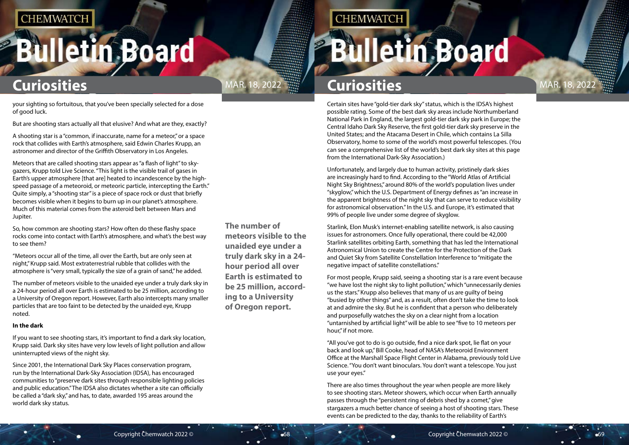# **Bulletin Board**

**The number of meteors visible to the unaided eye under a truly dark sky in a 24 hour period all over Earth is estimated to be 25 million, according to a University of Oregon report.**

## MAR. 18, 2022  $\frac{1}{2}$  **Curiosities MAR. 18, 2022**

**CHEMWATCH** 

## **Curiosities Curiosities**

Certain sites have "gold-tier dark sky" status, which is the IDSA's highest possible rating. Some of the best dark sky areas include Northumberland National Park in England, the largest gold-tier dark sky park in Europe; the Central Idaho Dark Sky Reserve, the first gold-tier dark sky preserve in the United States; and the Atacama Desert in Chile, which contains La Silla Observatory, home to some of the world's most powerful telescopes. (You can see a comprehensive list of the world's best dark sky sites at this page from the International Dark-Sky Association.)

Unfortunately, and largely due to human activity, pristinely dark skies are increasingly hard to find. According to the "World Atlas of Artificial Night Sky Brightness," around 80% of the world's population lives under "skyglow," which the U.S. Department of Energy defines as "an increase in the apparent brightness of the night sky that can serve to reduce visibility for astronomical observation." In the U.S. and Europe, it's estimated that 99% of people live under some degree of skyglow.

Starlink, Elon Musk's internet-enabling satellite network, is also causing issues for astronomers. Once fully operational, there could be 42,000 Starlink satellites orbiting Earth, something that has led the International Astronomical Union to create the Centre for the Protection of the Dark and Quiet Sky from Satellite Constellation Interference to "mitigate the negative impact of satellite constellations."

For most people, Krupp said, seeing a shooting star is a rare event because "we have lost the night sky to light pollution," which "unnecessarily denies us the stars." Krupp also believes that many of us are guilty of being "busied by other things" and, as a result, often don't take the time to look at and admire the sky. But he is confident that a person who deliberately and purposefully watches the sky on a clear night from a location "untarnished by artificial light" will be able to see "five to 10 meteors per hour," if not more.

"All you've got to do is go outside, find a nice dark spot, lie flat on your back and look up," Bill Cooke, head of NASA's Meteoroid Environment Office at the Marshall Space Flight Center in Alabama, previously told Live Science. "You don't want binoculars. You don't want a telescope. You just use your eyes."

There are also times throughout the year when people are more likely to see shooting stars. Meteor showers, which occur when Earth annually passes through the "persistent ring of debris shed by a comet," give stargazers a much better chance of seeing a host of shooting stars. These events can be predicted to the day, thanks to the reliability of Earth's

# **Bulletin Board**

your sighting so fortuitous, that you've been specially selected for a dose of good luck.

But are shooting stars actually all that elusive? And what are they, exactly?

A shooting star is a "common, if inaccurate, name for a meteor," or a space rock that collides with Earth's atmosphere, said Edwin Charles Krupp, an astronomer and director of the Griffith Observatory in Los Angeles.

Meteors that are called shooting stars appear as "a flash of light" to skygazers, Krupp told Live Science. "This light is the visible trail of gases in Earth's upper atmosphere [that are] heated to incandescence by the highspeed passage of a meteoroid, or meteoric particle, intercepting the Earth." Quite simply, a "shooting star" is a piece of space rock or dust that briefly becomes visible when it begins to burn up in our planet's atmosphere. Much of this material comes from the asteroid belt between Mars and Jupiter.

So, how common are shooting stars? How often do these flashy space rocks come into contact with Earth's atmosphere, and what's the best way to see them?

"Meteors occur all of the time, all over the Earth, but are only seen at night," Krupp said. Most extraterrestrial rubble that collides with the atmosphere is "very small, typically the size of a grain of sand," he added.

The number of meteors visible to the unaided eye under a truly dark sky in a 24-hour period all over Earth is estimated to be 25 million, according to a University of Oregon report. However, Earth also intercepts many smaller particles that are too faint to be detected by the unaided eye, Krupp noted.

### **In the dark**

If you want to see shooting stars, it's important to find a dark sky location, Krupp said. Dark sky sites have very low levels of light pollution and allow uninterrupted views of the night sky.

Since 2001, the International Dark Sky Places conservation program, run by the International Dark-Sky Association (IDSA), has encouraged communities to "preserve dark sites through responsible lighting policies and public education." The IDSA also dictates whether a site can officially be called a "dark sky," and has, to date, awarded 195 areas around the world dark sky status.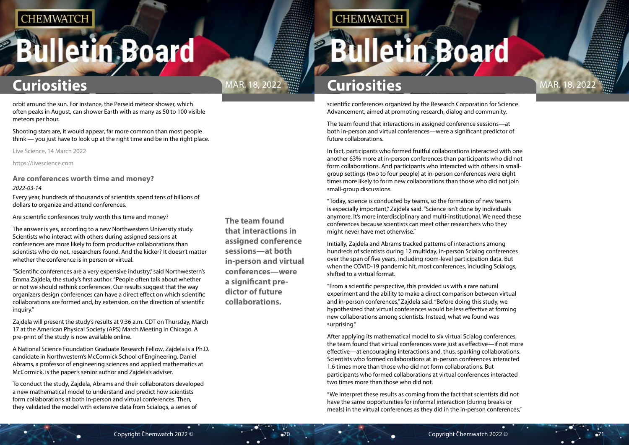# <span id="page-35-0"></span>**Bulletin Board**

## **The team found that interactions in assigned conference sessions—at both in-person and virtual conferences—were a significant predictor of future collaborations.**

## **Illetin Board**

**CHEMWATCH** 

## MAR. 18, 2022  $\frac{1}{2}$  **Curiosities MAR. 18, 2022**

## **Curiosities Curiosities**

scientific conferences organized by the Research Corporation for Science Advancement, aimed at promoting research, dialog and community.

The team found that interactions in assigned conference sessions—at both in-person and virtual conferences—were a significant predictor of future collaborations.

In fact, participants who formed fruitful collaborations interacted with one another 63% more at in-person conferences than participants who did not form collaborations. And participants who interacted with others in smallgroup settings (two to four people) at in-person conferences were eight times more likely to form new collaborations than those who did not join small-group discussions.

"Today, science is conducted by teams, so the formation of new teams is especially important," Zajdela said. "Science isn't done by individuals anymore. It's more interdisciplinary and multi-institutional. We need these conferences because scientists can meet other researchers who they might never have met otherwise."

Initially, Zajdela and Abrams tracked patterns of interactions among hundreds of scientists during 12 multiday, in-person Scialog conferences over the span of five years, including room-level participation data. But when the COVID-19 pandemic hit, most conferences, including Scialogs, shifted to a virtual format.

"From a scientific perspective, this provided us with a rare natural experiment and the ability to make a direct comparison between virtual and in-person conferences," Zajdela said. "Before doing this study, we hypothesized that virtual conferences would be less effective at forming new collaborations among scientists. Instead, what we found was surprising."

After applying its mathematical model to six virtual Scialog conferences, the team found that virtual conferences were just as effective—if not more effective—at encouraging interactions and, thus, sparking collaborations. Scientists who formed collaborations at in-person conferences interacted 1.6 times more than those who did not form collaborations. But participants who formed collaborations at virtual conferences interacted two times more than those who did not.

"We interpret these results as coming from the fact that scientists did not have the same opportunities for informal interaction (during breaks or meals) in the virtual conferences as they did in the in-person conferences,"



orbit around the sun. For instance, the Perseid meteor shower, which often peaks in August, can shower Earth with as many as 50 to 100 visible meteors per hour.

Shooting stars are, it would appear, far more common than most people think — you just have to look up at the right time and be in the right place.

Live Science, 14 March 2022

https://livescience.com

## **Are conferences worth time and money?** *2022-03-14*

Every year, hundreds of thousands of scientists spend tens of billions of dollars to organize and attend conferences.

Are scientific conferences truly worth this time and money?

The answer is yes, according to a new Northwestern University study. Scientists who interact with others during assigned sessions at conferences are more likely to form productive collaborations than scientists who do not, researchers found. And the kicker? It doesn't matter whether the conference is in person or virtual.

"Scientific conferences are a very expensive industry," said Northwestern's Emma Zajdela, the study's first author. "People often talk about whether or not we should rethink conferences. Our results suggest that the way organizers design conferences can have a direct effect on which scientific collaborations are formed and, by extension, on the direction of scientific inquiry."

Zajdela will present the study's results at 9:36 a.m. CDT on Thursday, March 17 at the American Physical Society (APS) March Meeting in Chicago. A pre-print of the study is now available online.

A National Science Foundation Graduate Research Fellow, Zajdela is a Ph.D. candidate in Northwestern's McCormick School of Engineering. Daniel Abrams, a professor of engineering sciences and applied mathematics at McCormick, is the paper's senior author and Zajdela's adviser.

To conduct the study, Zajdela, Abrams and their collaborators developed a new mathematical model to understand and predict how scientists form collaborations at both in-person and virtual conferences. Then, they validated the model with extensive data from Scialogs, a series of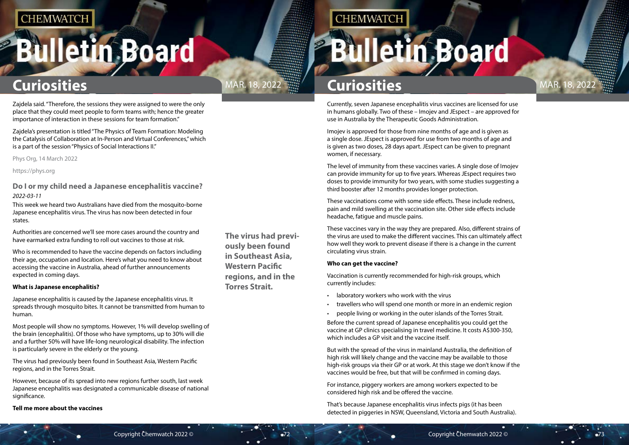# <span id="page-36-0"></span>**Bulletin Board**

## **Curiosities** MAR. 18, 2022 **Curiosities** MAR. 18, 2022

**The virus had previously been found in Southeast Asia, Western Pacific regions, and in the Torres Strait.**

## **CHEMWATCH**

# **Illetin Board**

Currently, seven Japanese encephalitis virus vaccines are licensed for use in humans globally. Two of these – Imojev and JEspect – are approved for use in Australia by the Therapeutic Goods Administration.

Imojev is approved for those from nine months of age and is given as a single dose. JEspect is approved for use from two months of age and is given as two doses, 28 days apart. JEspect can be given to pregnant women, if necessary.

The level of immunity from these vaccines varies. A single dose of Imojev can provide immunity for up to five years. Whereas JEspect requires two doses to provide immunity for two years, with some studies suggesting a third booster after 12 months provides longer protection.

These vaccinations come with some side effects. These include redness, pain and mild swelling at the vaccination site. Other side effects include headache, fatigue and muscle pains.

These vaccines vary in the way they are prepared. Also, different strains of the virus are used to make the different vaccines. This can ultimately affect how well they work to prevent disease if there is a change in the current circulating virus strain.

### **Who can get the vaccine?**

Vaccination is currently recommended for high-risk groups, which currently includes:

- laboratory workers who work with the virus
- travellers who will spend one month or more in an endemic region
- people living or working in the outer islands of the Torres Strait.

Before the current spread of Japanese encephalitis you could get the vaccine at GP clinics specialising in travel medicine. It costs A\$300-350, which includes a GP visit and the vaccine itself.

But with the spread of the virus in mainland Australia, the definition of high risk will likely change and the vaccine may be available to those high-risk groups via their GP or at work. At this stage we don't know if the vaccines would be free, but that will be confirmed in coming days.

However, because of its spread into new regions further south, last week Japanese encephalitis was designated a communicable disease of national significance.

For instance, piggery workers are among workers expected to be considered high risk and be offered the vaccine.

That's because Japanese encephalitis virus infects pigs (it has been detected in piggeries in NSW, Queensland, Victoria and South Australia).



Zajdela said. "Therefore, the sessions they were assigned to were the only place that they could meet people to form teams with; hence the greater importance of interaction in these sessions for team formation."

Zajdela's presentation is titled "The Physics of Team Formation: Modeling the Catalysis of Collaboration at In-Person and Virtual Conferences," which is a part of the session "Physics of Social Interactions II."

Phys Org, 14 March 2022

https://phys.org

## **Do I or my child need a Japanese encephalitis vaccine?** *2022-03-11*

This week we heard two Australians have died from the mosquito-borne Japanese encephalitis virus. The virus has now been detected in four states.

Authorities are concerned we'll see more cases around the country and have earmarked extra funding to roll out vaccines to those at risk.

Who is recommended to have the vaccine depends on factors including their age, occupation and location. Here's what you need to know about accessing the vaccine in Australia, ahead of further announcements expected in coming days.

### **What is Japanese encephalitis?**

Japanese encephalitis is caused by the Japanese encephalitis virus. It spreads through mosquito bites. It cannot be transmitted from human to human.

Most people will show no symptoms. However, 1% will develop swelling of the brain (encephalitis). Of those who have symptoms, up to 30% will die and a further 50% will have life-long neurological disability. The infection is particularly severe in the elderly or the young.

The virus had previously been found in Southeast Asia, Western Pacific regions, and in the Torres Strait.

### **Tell me more about the vaccines**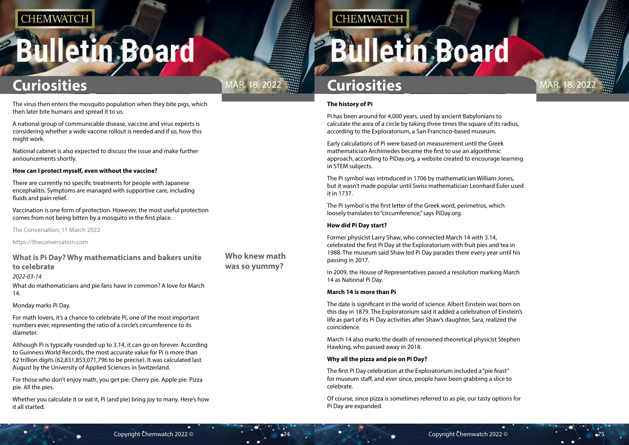# <span id="page-37-0"></span>**Illetin Board**



**Who knew math** 

**was so yummy?**

## **Curiosities Curiosities**

## **The history of Pi**

Pi has been around for 4,000 years, used by ancient Babylonians to calculate the area of a circle by taking three times the square of its radius, according to the Exploratorium, a San Francisco-based museum.

The Pi symbol is the first letter of the Greek word, perimetros, which loosely translates to "circumference," says PiDay.org.

Early calculations of Pi were based on measurement until the Greek mathematician Archimedes became the first to use an algorithmic approach, according to PiDay.org, a website created to encourage learning in STEM subjects.

The Pi symbol was introduced in 1706 by mathematician William Jones, but it wasn't made popular until Swiss mathematician Leonhard Euler used it in 1737.

### **How did Pi Day start?**

Former physicist Larry Shaw, who connected March 14 with 3.14, celebrated the first Pi Day at the Exploratorium with fruit pies and tea in 1988. The museum said Shaw led Pi Day parades there every year until his passing in 2017.

In 2009, the House of Representatives passed a resolution marking March 14 as National Pi Day.

### **March 14 is more than Pi**

The date is significant in the world of science. Albert Einstein was born on this day in 1879. The Exploratorium said it added a celebration of Einstein's life as part of its Pi Day activities after Shaw's daughter, Sara, realized the coincidence.

March 14 also marks the death of renowned theoretical physicist Stephen Hawking, who passed away in 2018.

### **Why all the pizza and pie on Pi Day?**

The first Pi Day celebration at the Exploratorium included a "pie feast" for museum staff, and ever since, people have been grabbing a slice to celebrate.

Of course, since pizza is sometimes referred to as pie, our tasty options for Pi Day are expanded.

The virus then enters the mosquito population when they bite pigs, which then later bite humans and spread it to us.

A national group of communicable disease, vaccine and virus experts is considering whether a wide vaccine rollout is needed and if so, how this might work.

National cabinet is also expected to discuss the issue and make further announcements shortly.

### **How can I protect myself, even without the vaccine?**

There are currently no specific treatments for people with Japanese encephalitis. Symptoms are managed with supportive care, including fluids and pain relief.

Vaccination is one form of protection. However, the most useful protection comes from not being bitten by a mosquito in the first place.

The Conversation, 11 March 2022

https://theconversation.com

## **What is Pi Day? Why mathematicians and bakers unite to celebrate**

*2022-03-14*

What do mathematicians and pie fans have in common? A love for March 14.

Monday marks Pi Day.

For math lovers, it's a chance to celebrate Pi, one of the most important numbers ever, representing the ratio of a circle's circumference to its diameter.

Although Pi is typically rounded up to 3.14, it can go on forever. According to Guinness World Records, the most accurate value for Pi is more than 62 trillion digits (62,831,853,071,796 to be precise). It was calculated last August by the University of Applied Sciences in Switzerland.

For those who don't enjoy math, you get pie. Cherry pie. Apple pie. Pizza pie. All the pies.

Whether you calculate it or eat it, Pi (and pie) bring joy to many. Here's how it all started.